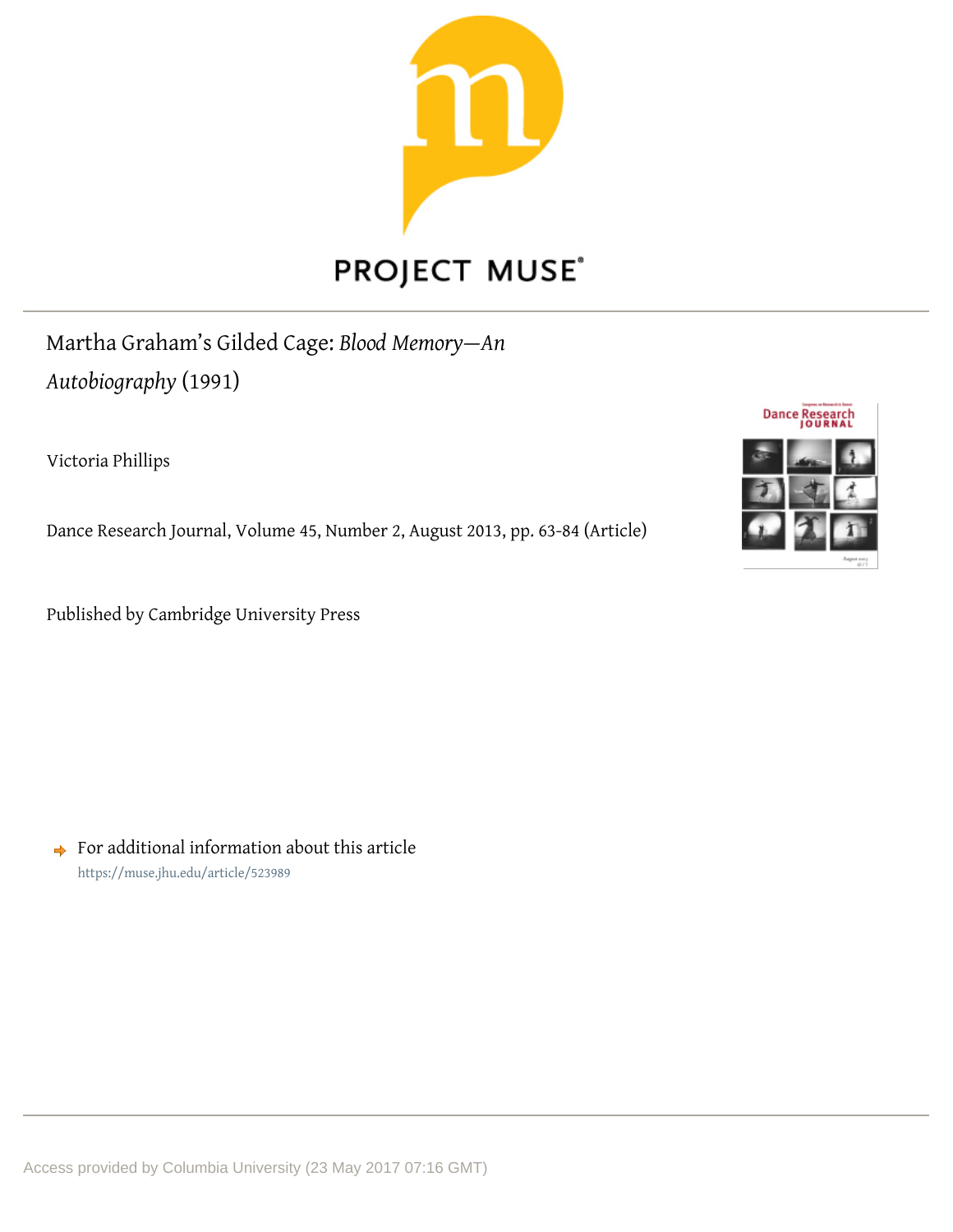

# **PROJECT MUSE®**

Martha Graham's Gilded Cage: *Blood Memory—An Autobiography* (1991)

Victoria Phillips

Dance Research Journal, Volume 45, Number 2, August 2013, pp. 63-84 (Article)

Published by Cambridge University Press



 $\rightarrow$  For additional information about this article <https://muse.jhu.edu/article/523989>

Access provided by Columbia University (23 May 2017 07:16 GMT)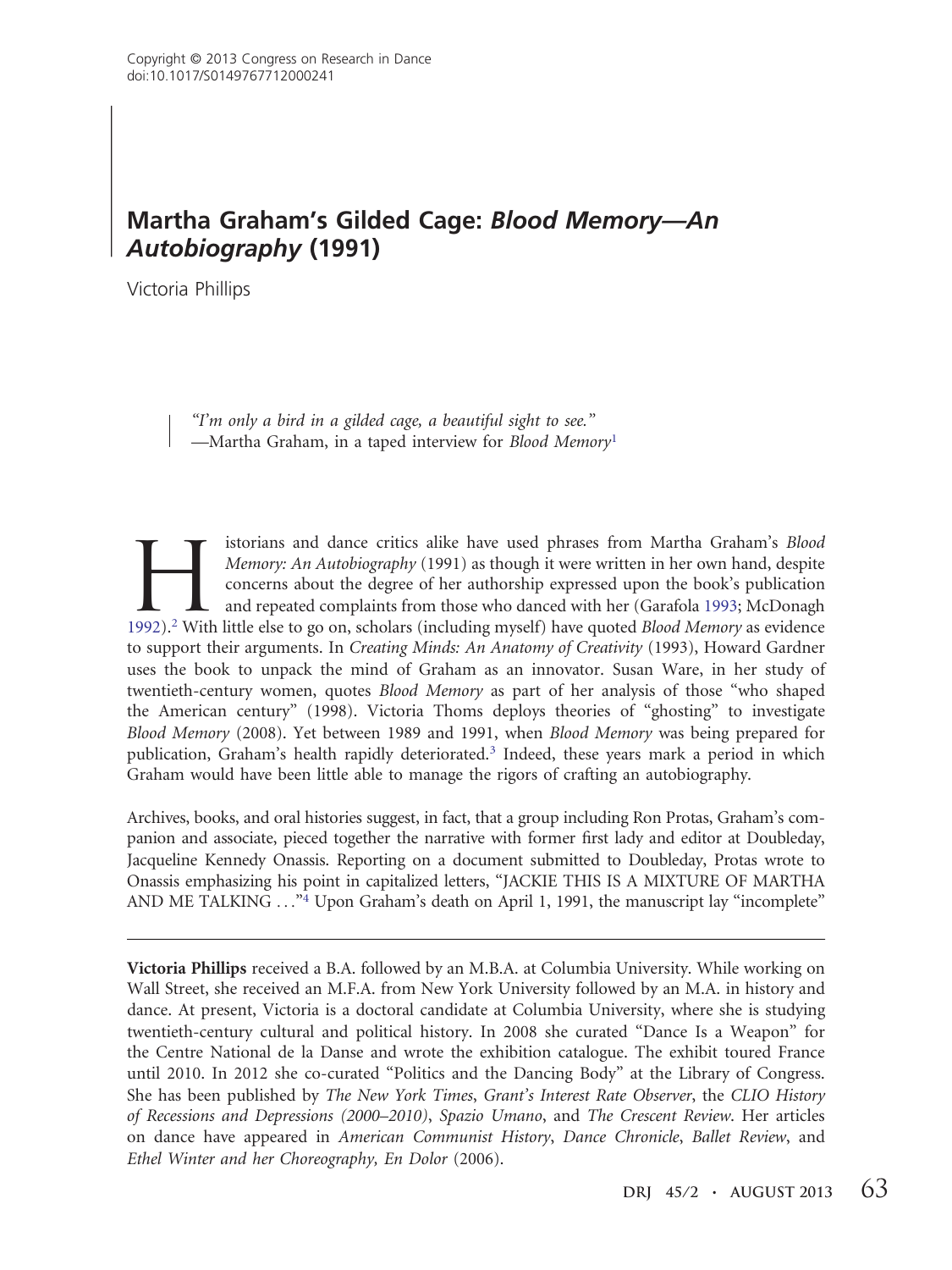## Martha Graham's Gilded Cage: Blood Memory—An Autobiography (1991)

Victoria Phillips

"I'm only a bird in a gilded cage, a beautiful sight to see." —Martha Graham, in a taped interview for Blood Memory[1](#page-15-0)

istorians and dance critics alike have used phrases from Martha Graham's *Blood*<br>*Memory: An Autobiography* (1991) as though it were written in her own hand, despite<br>concerns about the degree of her authorship expressed up Memory: An Autobiography (1991) as though it were written in her own hand, despite concerns about the degree of her authorship expressed upon the book's publication and repeated complaints from those who danced with her (Garafola [1993](#page-20-0); McDonagh [1992](#page-21-0)).<sup>2</sup> With little else to go on, scholars (including myself) have quoted Blood Memory as evidence to support their arguments. In Creating Minds: An Anatomy of Creativity (1993), Howard Gardner uses the book to unpack the mind of Graham as an innovator. Susan Ware, in her study of twentieth-century women, quotes Blood Memory as part of her analysis of those "who shaped the American century" (1998). Victoria Thoms deploys theories of "ghosting" to investigate Blood Memory (2008). Yet between 1989 and 1991, when Blood Memory was being prepared for publication, Graham's health rapidly deteriorated.<sup>[3](#page-15-0)</sup> Indeed, these years mark a period in which Graham would have been little able to manage the rigors of crafting an autobiography.

Archives, books, and oral histories suggest, in fact, that a group including Ron Protas, Graham's companion and associate, pieced together the narrative with former first lady and editor at Doubleday, Jacqueline Kennedy Onassis. Reporting on a document submitted to Doubleday, Protas wrote to Onassis emphasizing his point in capitalized letters, "JACKIE THIS IS A MIXTURE OF MARTHA AND ME TALKING ..."[4](#page-15-0) Upon Graham's death on April 1, 1991, the manuscript lay "incomplete"

Victoria Phillips received a B.A. followed by an M.B.A. at Columbia University. While working on Wall Street, she received an M.F.A. from New York University followed by an M.A. in history and dance. At present, Victoria is a doctoral candidate at Columbia University, where she is studying twentieth-century cultural and political history. In 2008 she curated "Dance Is a Weapon" for the Centre National de la Danse and wrote the exhibition catalogue. The exhibit toured France until 2010. In 2012 she co-curated "Politics and the Dancing Body" at the Library of Congress. She has been published by The New York Times, Grant's Interest Rate Observer, the CLIO History of Recessions and Depressions (2000–2010), Spazio Umano, and The Crescent Review. Her articles on dance have appeared in American Communist History, Dance Chronicle, Ballet Review, and Ethel Winter and her Choreography, En Dolor (2006).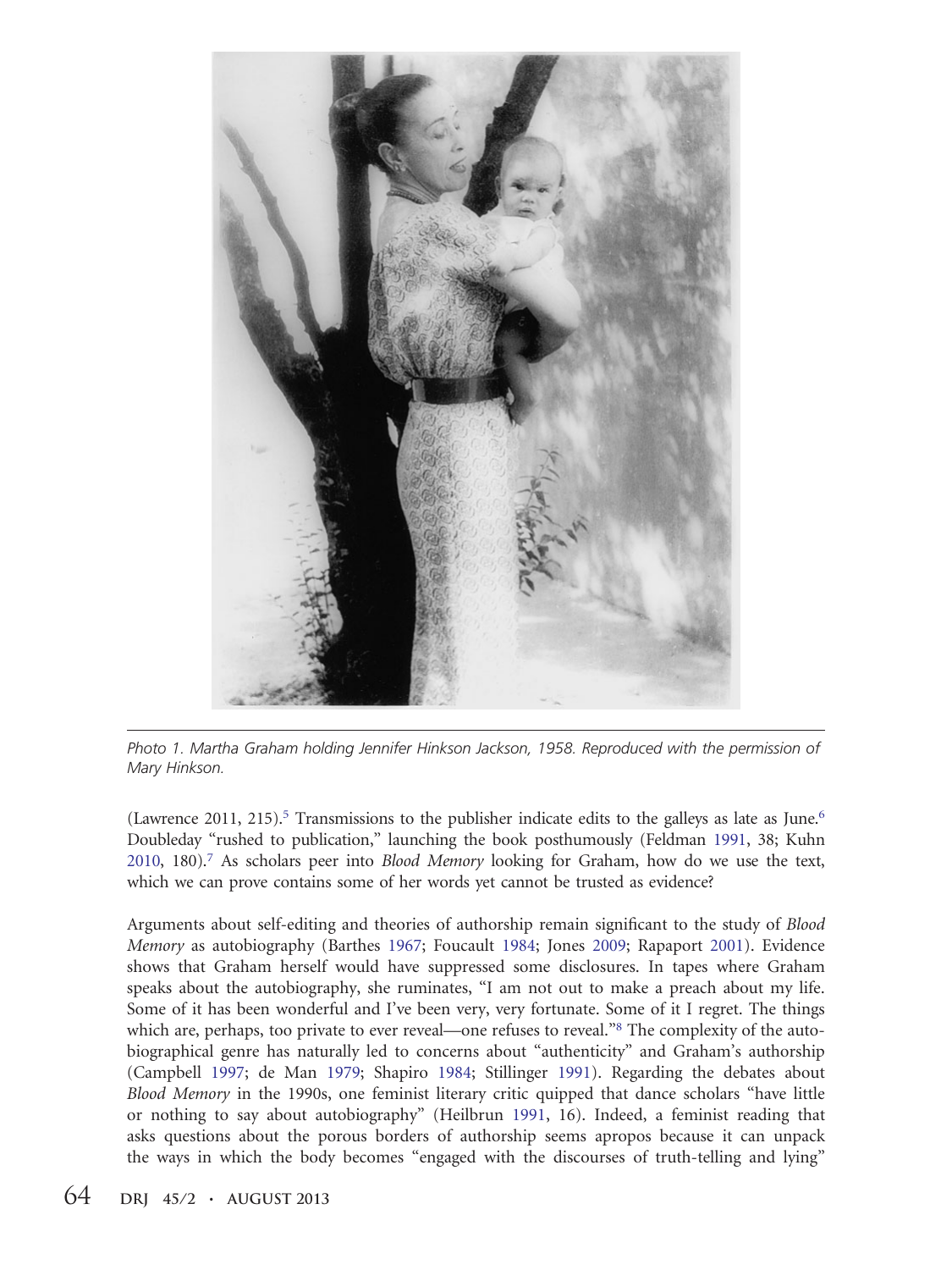

Photo 1. Martha Graham holding Jennifer Hinkson Jackson, 1958. Reproduced with the permission of Mary Hinkson.

(Lawrence 2011, 215).<sup>5</sup> Transmissions to the publisher indicate edits to the galleys as late as June.<sup>6</sup> Doubleday "rushed to publication," launching the book posthumously (Feldman [1991](#page-20-0), 38; Kuhn [2010,](#page-21-0) 180).<sup>7</sup> As scholars peer into *Blood Memory* looking for Graham, how do we use the text, which we can prove contains some of her words yet cannot be trusted as evidence?

Arguments about self-editing and theories of authorship remain significant to the study of Blood Memory as autobiography (Barthes [1967](#page-20-0); Foucault [1984;](#page-20-0) Jones [2009](#page-21-0); Rapaport [2001](#page-21-0)). Evidence shows that Graham herself would have suppressed some disclosures. In tapes where Graham speaks about the autobiography, she ruminates, "I am not out to make a preach about my life. Some of it has been wonderful and I've been very, very fortunate. Some of it I regret. The things which are, perhaps, too private to ever reveal—one refuses to reveal."<sup>[8](#page-16-0)</sup> The complexity of the autobiographical genre has naturally led to concerns about "authenticity" and Graham's authorship (Campbell [1997;](#page-20-0) de Man [1979](#page-20-0); Shapiro [1984](#page-21-0); Stillinger [1991](#page-21-0)). Regarding the debates about Blood Memory in the 1990s, one feminist literary critic quipped that dance scholars "have little or nothing to say about autobiography" (Heilbrun [1991,](#page-21-0) 16). Indeed, a feminist reading that asks questions about the porous borders of authorship seems apropos because it can unpack the ways in which the body becomes "engaged with the discourses of truth-telling and lying"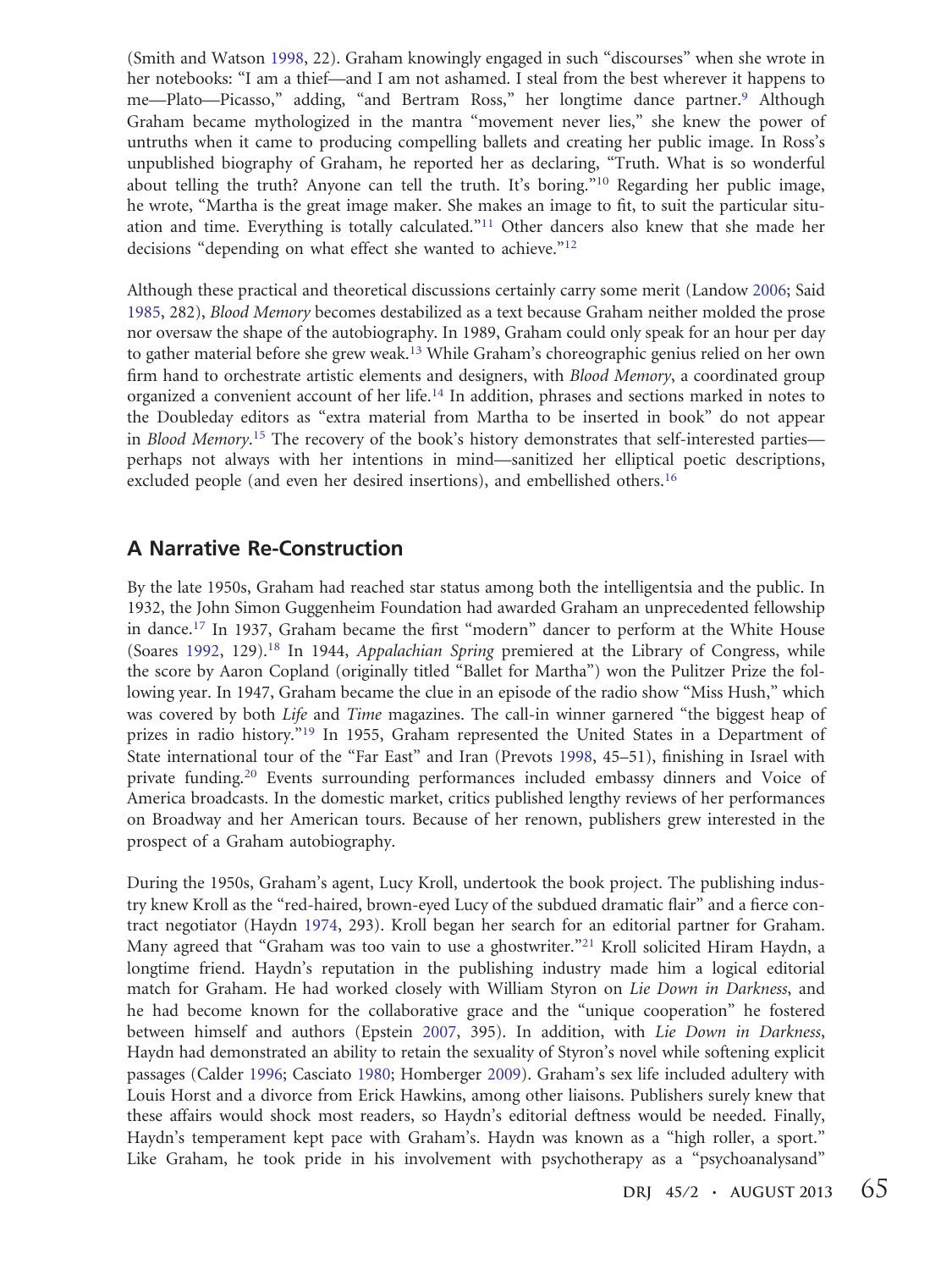(Smith and Watson [1998](#page-21-0), 22). Graham knowingly engaged in such "discourses" when she wrote in her notebooks: "I am a thief—and I am not ashamed. I steal from the best wherever it happens to me—Plato—Picasso," adding, "and Bertram Ross," her longtime dance partner.[9](#page-16-0) Although Graham became mythologized in the mantra "movement never lies," she knew the power of untruths when it came to producing compelling ballets and creating her public image. In Ross's unpublished biography of Graham, he reported her as declaring, "Truth. What is so wonderful about telling the truth? Anyone can tell the truth. It's boring.<sup>"[10](#page-16-0)</sup> Regarding her public image, he wrote, "Martha is the great image maker. She makes an image to fit, to suit the particular situation and time. Everything is totally calculated."[11](#page-16-0) Other dancers also knew that she made her decisions "depending on what effect she wanted to achieve."[12](#page-16-0)

Although these practical and theoretical discussions certainly carry some merit (Landow [2006](#page-21-0); Said [1985](#page-21-0), 282), Blood Memory becomes destabilized as a text because Graham neither molded the prose nor oversaw the shape of the autobiography. In 1989, Graham could only speak for an hour per day to gather material before she grew weak.<sup>13</sup> While Graham's choreographic genius relied on her own firm hand to orchestrate artistic elements and designers, with *Blood Memory*, a coordinated group organized a convenient account of her life.[14](#page-16-0) In addition, phrases and sections marked in notes to the Doubleday editors as "extra material from Martha to be inserted in book" do not appear in Blood Memory.<sup>[15](#page-16-0)</sup> The recovery of the book's history demonstrates that self-interested partiesperhaps not always with her intentions in mind—sanitized her elliptical poetic descriptions, excluded people (and even her desired insertions), and embellished others.[16](#page-16-0)

### A Narrative Re-Construction

By the late 1950s, Graham had reached star status among both the intelligentsia and the public. In 1932, the John Simon Guggenheim Foundation had awarded Graham an unprecedented fellowship in dance.[17](#page-16-0) In 1937, Graham became the first "modern" dancer to perform at the White House (Soares [1992,](#page-21-0) 129).<sup>[18](#page-16-0)</sup> In 1944, *Appalachian Spring* premiered at the Library of Congress, while the score by Aaron Copland (originally titled "Ballet for Martha") won the Pulitzer Prize the following year. In 1947, Graham became the clue in an episode of the radio show "Miss Hush," which was covered by both *Life* and *Time* magazines. The call-in winner garnered "the biggest heap of prizes in radio history."[19](#page-16-0) In 1955, Graham represented the United States in a Department of State international tour of the "Far East" and Iran (Prevots [1998](#page-21-0), 45–51), finishing in Israel with private funding.[20](#page-16-0) Events surrounding performances included embassy dinners and Voice of America broadcasts. In the domestic market, critics published lengthy reviews of her performances on Broadway and her American tours. Because of her renown, publishers grew interested in the prospect of a Graham autobiography.

During the 1950s, Graham's agent, Lucy Kroll, undertook the book project. The publishing industry knew Kroll as the "red-haired, brown-eyed Lucy of the subdued dramatic flair" and a fierce contract negotiator (Haydn [1974,](#page-21-0) 293). Kroll began her search for an editorial partner for Graham. Many agreed that "Graham was too vain to use a ghostwriter."<sup>[21](#page-16-0)</sup> Kroll solicited Hiram Haydn, a longtime friend. Haydn's reputation in the publishing industry made him a logical editorial match for Graham. He had worked closely with William Styron on Lie Down in Darkness, and he had become known for the collaborative grace and the "unique cooperation" he fostered between himself and authors (Epstein [2007,](#page-20-0) 395). In addition, with Lie Down in Darkness, Haydn had demonstrated an ability to retain the sexuality of Styron's novel while softening explicit passages (Calder [1996](#page-20-0); Casciato [1980;](#page-20-0) Homberger [2009\)](#page-21-0). Graham's sex life included adultery with Louis Horst and a divorce from Erick Hawkins, among other liaisons. Publishers surely knew that these affairs would shock most readers, so Haydn's editorial deftness would be needed. Finally, Haydn's temperament kept pace with Graham's. Haydn was known as a "high roller, a sport." Like Graham, he took pride in his involvement with psychotherapy as a "psychoanalysand"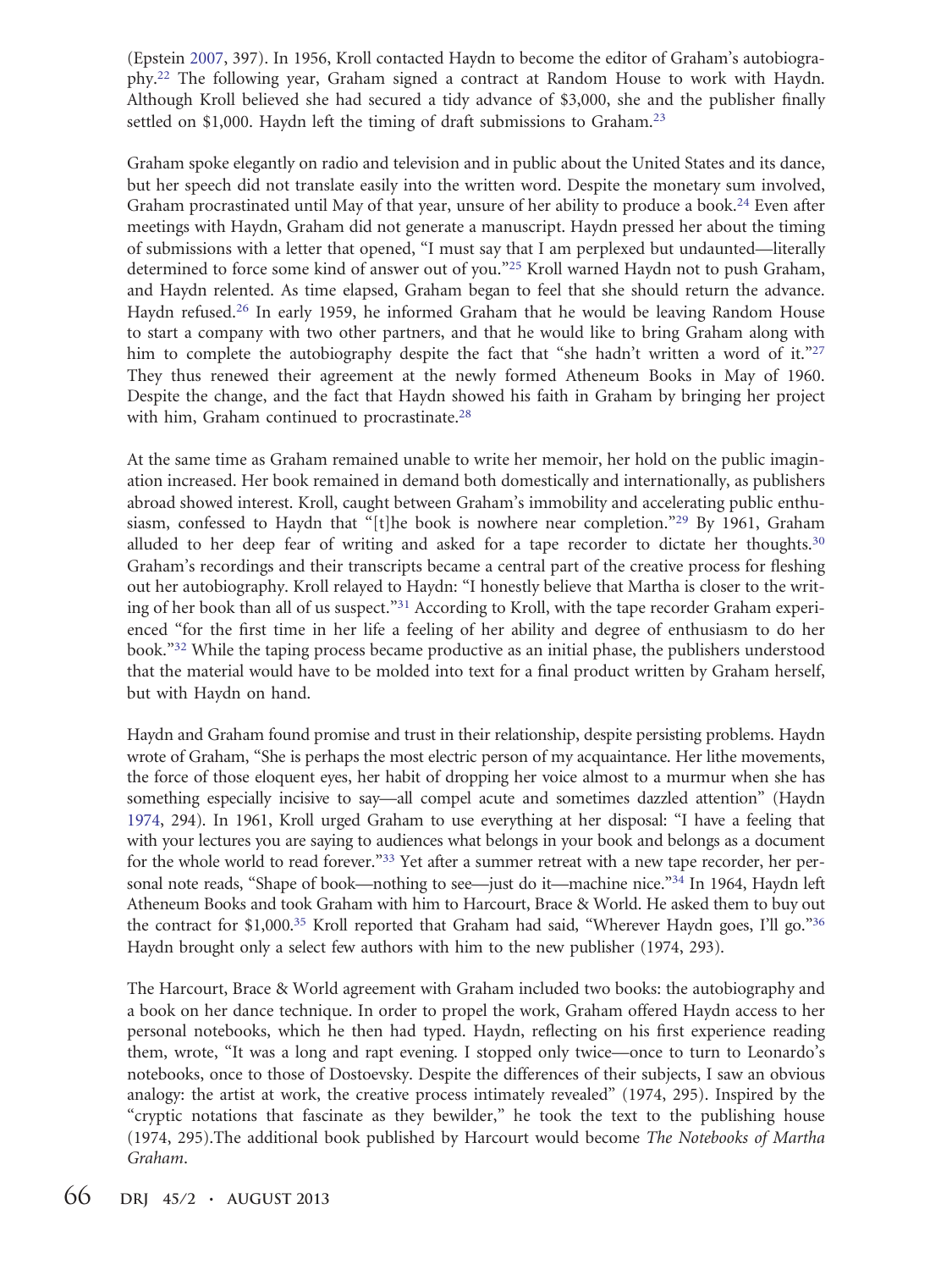(Epstein [2007,](#page-20-0) 397). In 1956, Kroll contacted Haydn to become the editor of Graham's autobiography[.22](#page-16-0) The following year, Graham signed a contract at Random House to work with Haydn. Although Kroll believed she had secured a tidy advance of \$3,000, she and the publisher finally settled on \$1,000. Haydn left the timing of draft submissions to Graham.<sup>23</sup>

Graham spoke elegantly on radio and television and in public about the United States and its dance, but her speech did not translate easily into the written word. Despite the monetary sum involved, Graham procrastinated until May of that year, unsure of her ability to produce a book.[24](#page-16-0) Even after meetings with Haydn, Graham did not generate a manuscript. Haydn pressed her about the timing of submissions with a letter that opened, "I must say that I am perplexed but undaunted—literally determined to force some kind of answer out of you."[25](#page-16-0) Kroll warned Haydn not to push Graham, and Haydn relented. As time elapsed, Graham began to feel that she should return the advance. Haydn refused.[26](#page-16-0) In early 1959, he informed Graham that he would be leaving Random House to start a company with two other partners, and that he would like to bring Graham along with him to complete the autobiography despite the fact that "she hadn't written a word of it."[27](#page-16-0) They thus renewed their agreement at the newly formed Atheneum Books in May of 1960. Despite the change, and the fact that Haydn showed his faith in Graham by bringing her project with him, Graham continued to procrastinate.<sup>28</sup>

At the same time as Graham remained unable to write her memoir, her hold on the public imagination increased. Her book remained in demand both domestically and internationally, as publishers abroad showed interest. Kroll, caught between Graham's immobility and accelerating public enthusiasm, confessed to Haydn that "[t]he book is nowhere near completion."[29](#page-16-0) By 1961, Graham alluded to her deep fear of writing and asked for a tape recorder to dictate her thoughts.<sup>[30](#page-16-0)</sup> Graham's recordings and their transcripts became a central part of the creative process for fleshing out her autobiography. Kroll relayed to Haydn: "I honestly believe that Martha is closer to the writing of her book than all of us suspect."[31](#page-17-0) According to Kroll, with the tape recorder Graham experienced "for the first time in her life a feeling of her ability and degree of enthusiasm to do her book."[32](#page-17-0) While the taping process became productive as an initial phase, the publishers understood that the material would have to be molded into text for a final product written by Graham herself, but with Haydn on hand.

Haydn and Graham found promise and trust in their relationship, despite persisting problems. Haydn wrote of Graham, "She is perhaps the most electric person of my acquaintance. Her lithe movements, the force of those eloquent eyes, her habit of dropping her voice almost to a murmur when she has something especially incisive to say—all compel acute and sometimes dazzled attention" (Haydn [1974,](#page-21-0) 294). In 1961, Kroll urged Graham to use everything at her disposal: "I have a feeling that with your lectures you are saying to audiences what belongs in your book and belongs as a document for the whole world to read forever."<sup>[33](#page-17-0)</sup> Yet after a summer retreat with a new tape recorder, her per-sonal note reads, "Shape of book—nothing to see—just do it—machine nice."<sup>[34](#page-17-0)</sup> In 1964, Haydn left Atheneum Books and took Graham with him to Harcourt, Brace & World. He asked them to buy out the contract for \$1,000.<sup>[35](#page-17-0)</sup> Kroll reported that Graham had said, "Wherever Haydn goes, I'll go."<sup>[36](#page-17-0)</sup> Haydn brought only a select few authors with him to the new publisher (1974, 293).

The Harcourt, Brace & World agreement with Graham included two books: the autobiography and a book on her dance technique. In order to propel the work, Graham offered Haydn access to her personal notebooks, which he then had typed. Haydn, reflecting on his first experience reading them, wrote, "It was a long and rapt evening. I stopped only twice—once to turn to Leonardo's notebooks, once to those of Dostoevsky. Despite the differences of their subjects, I saw an obvious analogy: the artist at work, the creative process intimately revealed" (1974, 295). Inspired by the "cryptic notations that fascinate as they bewilder," he took the text to the publishing house (1974, 295).The additional book published by Harcourt would become The Notebooks of Martha Graham.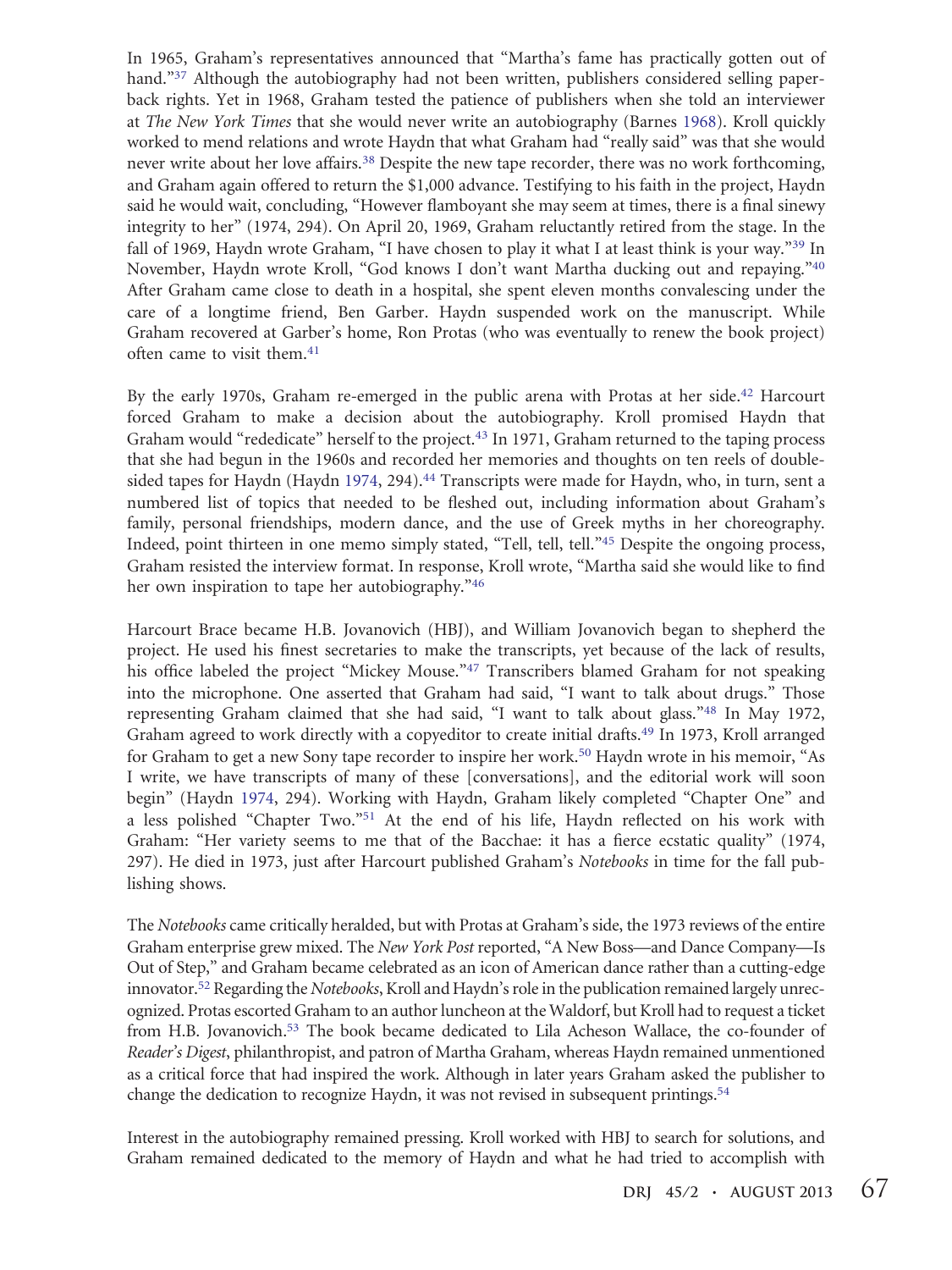In 1965, Graham's representatives announced that "Martha's fame has practically gotten out of hand."<sup>[37](#page-17-0)</sup> Although the autobiography had not been written, publishers considered selling paperback rights. Yet in 1968, Graham tested the patience of publishers when she told an interviewer at The New York Times that she would never write an autobiography (Barnes [1968](#page-20-0)). Kroll quickly worked to mend relations and wrote Haydn that what Graham had "really said" was that she would never write about her love affairs.<sup>[38](#page-17-0)</sup> Despite the new tape recorder, there was no work forthcoming, and Graham again offered to return the \$1,000 advance. Testifying to his faith in the project, Haydn said he would wait, concluding, "However flamboyant she may seem at times, there is a final sinewy integrity to her" (1974, 294). On April 20, 1969, Graham reluctantly retired from the stage. In the fall of 1969, Haydn wrote Graham, "I have chosen to play it what I at least think is your way."<sup>[39](#page-17-0)</sup> In November, Haydn wrote Kroll, "God knows I don't want Martha ducking out and repaying."[40](#page-17-0) After Graham came close to death in a hospital, she spent eleven months convalescing under the care of a longtime friend, Ben Garber. Haydn suspended work on the manuscript. While Graham recovered at Garber's home, Ron Protas (who was eventually to renew the book project) often came to visit them.<sup>[41](#page-17-0)</sup>

By the early 1970s, Graham re-emerged in the public arena with Protas at her side.<sup>42</sup> Harcourt forced Graham to make a decision about the autobiography. Kroll promised Haydn that Graham would "rededicate" herself to the project.<sup>[43](#page-17-0)</sup> In 1971, Graham returned to the taping process that she had begun in the 1960s and recorded her memories and thoughts on ten reels of double-sided tapes for Haydn (Haydn [1974](#page-21-0), 294).<sup>[44](#page-17-0)</sup> Transcripts were made for Haydn, who, in turn, sent a numbered list of topics that needed to be fleshed out, including information about Graham's family, personal friendships, modern dance, and the use of Greek myths in her choreography. Indeed, point thirteen in one memo simply stated, "Tell, tell, tell."<sup>[45](#page-17-0)</sup> Despite the ongoing process, Graham resisted the interview format. In response, Kroll wrote, "Martha said she would like to find her own inspiration to tape her autobiography."[46](#page-17-0)

Harcourt Brace became H.B. Jovanovich (HBJ), and William Jovanovich began to shepherd the project. He used his finest secretaries to make the transcripts, yet because of the lack of results, his office labeled the project "Mickey Mouse."<sup>[47](#page-17-0)</sup> Transcribers blamed Graham for not speaking into the microphone. One asserted that Graham had said, "I want to talk about drugs." Those representing Graham claimed that she had said, "I want to talk about glass."[48](#page-17-0) In May 1972, Graham agreed to work directly with a copyeditor to create initial drafts.[49](#page-17-0) In 1973, Kroll arranged for Graham to get a new Sony tape recorder to inspire her work.<sup>[50](#page-17-0)</sup> Haydn wrote in his memoir, "As I write, we have transcripts of many of these [conversations], and the editorial work will soon begin" (Haydn [1974,](#page-21-0) 294). Working with Haydn, Graham likely completed "Chapter One" and a less polished "Chapter Two."[51](#page-17-0) At the end of his life, Haydn reflected on his work with Graham: "Her variety seems to me that of the Bacchae: it has a fierce ecstatic quality" (1974, 297). He died in 1973, just after Harcourt published Graham's Notebooks in time for the fall publishing shows.

The Notebooks came critically heralded, but with Protas at Graham's side, the 1973 reviews of the entire Graham enterprise grew mixed. The New York Post reported, "A New Boss—and Dance Company—Is Out of Step," and Graham became celebrated as an icon of American dance rather than a cutting-edge innovator.<sup>52</sup> Regarding the Notebooks, Kroll and Haydn's role in the publication remained largely unrecognized. Protas escorted Graham to an author luncheon at the Waldorf, but Kroll had to request a ticket from H.B. Jovanovich.<sup>[53](#page-17-0)</sup> The book became dedicated to Lila Acheson Wallace, the co-founder of Reader's Digest, philanthropist, and patron of Martha Graham, whereas Haydn remained unmentioned as a critical force that had inspired the work. Although in later years Graham asked the publisher to change the dedication to recognize Haydn, it was not revised in subsequent printings.<sup>[54](#page-17-0)</sup>

Interest in the autobiography remained pressing. Kroll worked with HBJ to search for solutions, and Graham remained dedicated to the memory of Haydn and what he had tried to accomplish with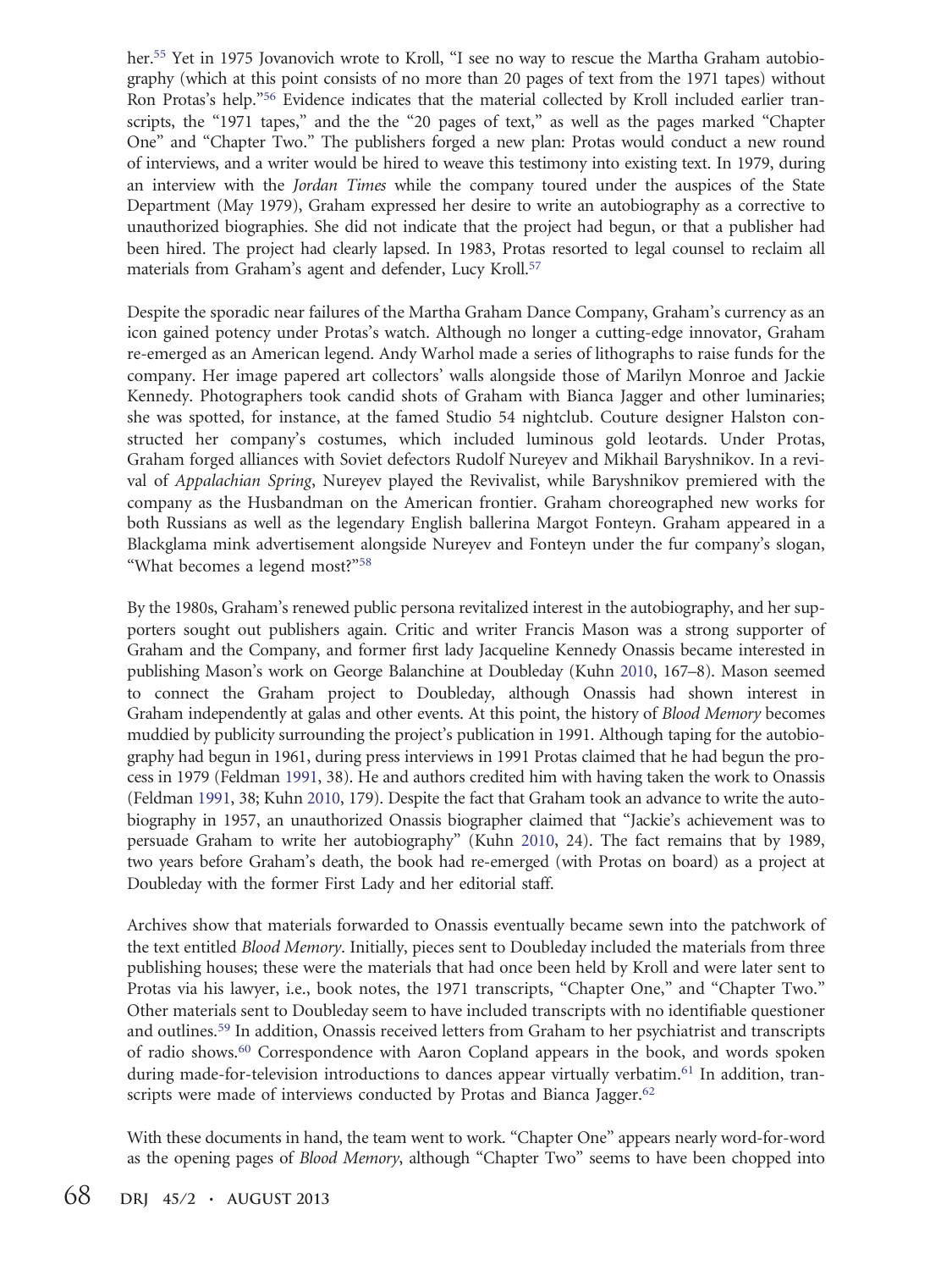her.<sup>55</sup> Yet in 1975 Jovanovich wrote to Kroll, "I see no way to rescue the Martha Graham autobiography (which at this point consists of no more than 20 pages of text from the 1971 tapes) without Ron Protas's help."[56](#page-17-0) Evidence indicates that the material collected by Kroll included earlier transcripts, the "1971 tapes," and the the "20 pages of text," as well as the pages marked "Chapter One" and "Chapter Two." The publishers forged a new plan: Protas would conduct a new round of interviews, and a writer would be hired to weave this testimony into existing text. In 1979, during an interview with the *Jordan Times* while the company toured under the auspices of the State Department (May 1979), Graham expressed her desire to write an autobiography as a corrective to unauthorized biographies. She did not indicate that the project had begun, or that a publisher had been hired. The project had clearly lapsed. In 1983, Protas resorted to legal counsel to reclaim all materials from Graham's agent and defender, Lucy Kroll[.57](#page-17-0)

Despite the sporadic near failures of the Martha Graham Dance Company, Graham's currency as an icon gained potency under Protas's watch. Although no longer a cutting-edge innovator, Graham re-emerged as an American legend. Andy Warhol made a series of lithographs to raise funds for the company. Her image papered art collectors' walls alongside those of Marilyn Monroe and Jackie Kennedy. Photographers took candid shots of Graham with Bianca Jagger and other luminaries; she was spotted, for instance, at the famed Studio 54 nightclub. Couture designer Halston constructed her company's costumes, which included luminous gold leotards. Under Protas, Graham forged alliances with Soviet defectors Rudolf Nureyev and Mikhail Baryshnikov. In a revival of Appalachian Spring, Nureyev played the Revivalist, while Baryshnikov premiered with the company as the Husbandman on the American frontier. Graham choreographed new works for both Russians as well as the legendary English ballerina Margot Fonteyn. Graham appeared in a Blackglama mink advertisement alongside Nureyev and Fonteyn under the fur company's slogan, "What becomes a legend most?"[58](#page-17-0)

By the 1980s, Graham's renewed public persona revitalized interest in the autobiography, and her supporters sought out publishers again. Critic and writer Francis Mason was a strong supporter of Graham and the Company, and former first lady Jacqueline Kennedy Onassis became interested in publishing Mason's work on George Balanchine at Doubleday (Kuhn [2010](#page-21-0), 167–8). Mason seemed to connect the Graham project to Doubleday, although Onassis had shown interest in Graham independently at galas and other events. At this point, the history of Blood Memory becomes muddied by publicity surrounding the project's publication in 1991. Although taping for the autobiography had begun in 1961, during press interviews in 1991 Protas claimed that he had begun the process in 1979 (Feldman [1991](#page-20-0), 38). He and authors credited him with having taken the work to Onassis (Feldman [1991,](#page-20-0) 38; Kuhn [2010,](#page-21-0) 179). Despite the fact that Graham took an advance to write the autobiography in 1957, an unauthorized Onassis biographer claimed that "Jackie's achievement was to persuade Graham to write her autobiography" (Kuhn [2010](#page-21-0), 24). The fact remains that by 1989, two years before Graham's death, the book had re-emerged (with Protas on board) as a project at Doubleday with the former First Lady and her editorial staff.

Archives show that materials forwarded to Onassis eventually became sewn into the patchwork of the text entitled Blood Memory. Initially, pieces sent to Doubleday included the materials from three publishing houses; these were the materials that had once been held by Kroll and were later sent to Protas via his lawyer, i.e., book notes, the 1971 transcripts, "Chapter One," and "Chapter Two." Other materials sent to Doubleday seem to have included transcripts with no identifiable questioner and outlines.[59](#page-17-0) In addition, Onassis received letters from Graham to her psychiatrist and transcripts of radio shows.[60](#page-17-0) Correspondence with Aaron Copland appears in the book, and words spoken during made-for-television introductions to dances appear virtually verbatim.<sup>61</sup> In addition, tran-scripts were made of interviews conducted by Protas and Bianca Jagger.<sup>[62](#page-18-0)</sup>

With these documents in hand, the team went to work. "Chapter One" appears nearly word-for-word as the opening pages of *Blood Memory*, although "Chapter Two" seems to have been chopped into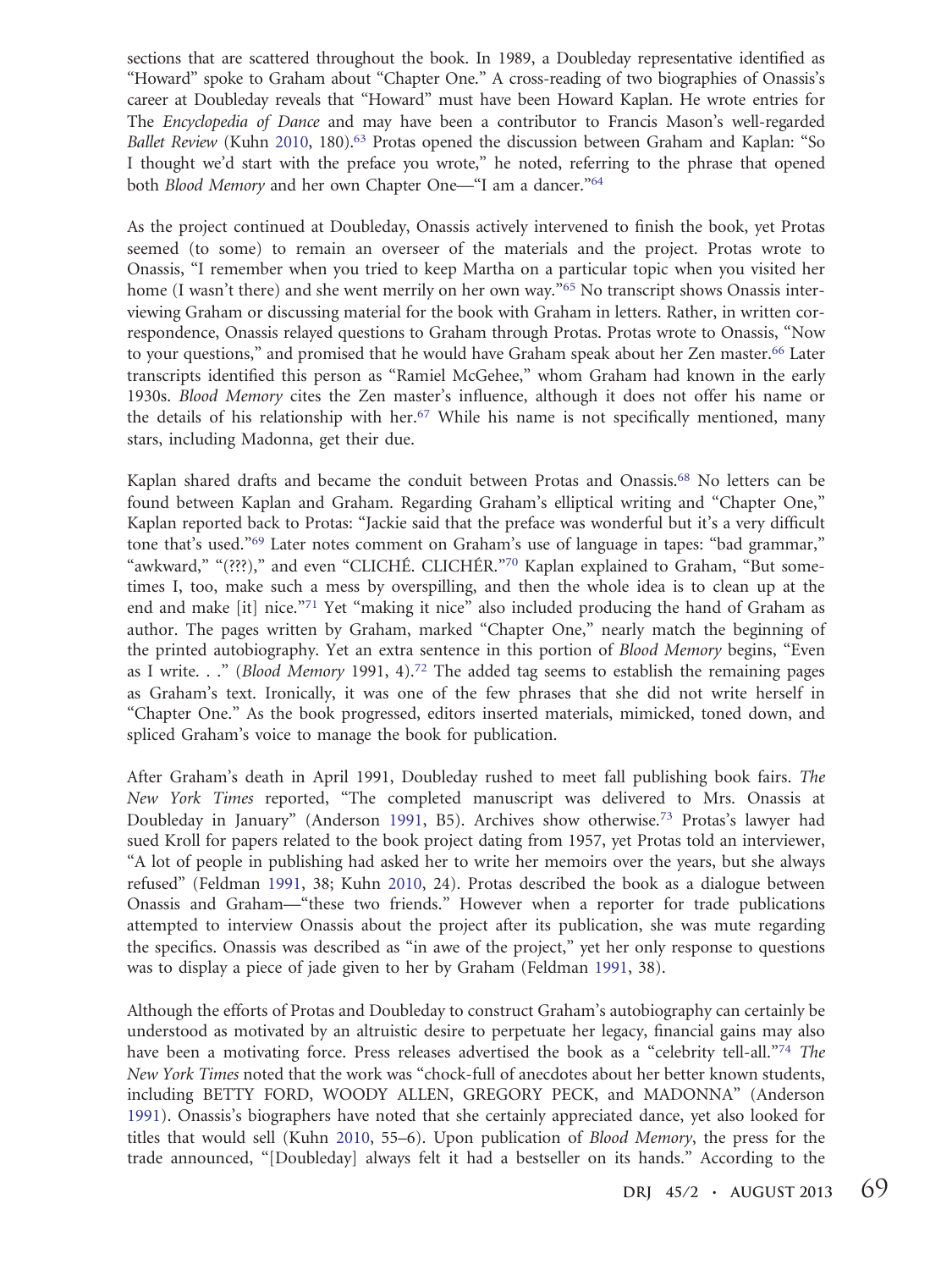sections that are scattered throughout the book. In 1989, a Doubleday representative identified as "Howard" spoke to Graham about "Chapter One." A cross-reading of two biographies of Onassis's career at Doubleday reveals that "Howard" must have been Howard Kaplan. He wrote entries for The Encyclopedia of Dance and may have been a contributor to Francis Mason's well-regarded Ballet Review (Kuhn [2010,](#page-21-0) 180).<sup>[63](#page-18-0)</sup> Protas opened the discussion between Graham and Kaplan: "So I thought we'd start with the preface you wrote," he noted, referring to the phrase that opened both Blood Memory and her own Chapter One-"I am a dancer."<sup>[64](#page-18-0)</sup>

As the project continued at Doubleday, Onassis actively intervened to finish the book, yet Protas seemed (to some) to remain an overseer of the materials and the project. Protas wrote to Onassis, "I remember when you tried to keep Martha on a particular topic when you visited her home (I wasn't there) and she went merrily on her own way."<sup>[65](#page-18-0)</sup> No transcript shows Onassis interviewing Graham or discussing material for the book with Graham in letters. Rather, in written correspondence, Onassis relayed questions to Graham through Protas. Protas wrote to Onassis, "Now to your questions," and promised that he would have Graham speak about her Zen master.<sup>[66](#page-18-0)</sup> Later transcripts identified this person as "Ramiel McGehee," whom Graham had known in the early 1930s. Blood Memory cites the Zen master's influence, although it does not offer his name or the details of his relationship with her.<sup>[67](#page-18-0)</sup> While his name is not specifically mentioned, many stars, including Madonna, get their due.

Kaplan shared drafts and became the conduit between Protas and Onassis.[68](#page-18-0) No letters can be found between Kaplan and Graham. Regarding Graham's elliptical writing and "Chapter One," Kaplan reported back to Protas: "Jackie said that the preface was wonderful but it's a very difficult tone that's used."[69](#page-18-0) Later notes comment on Graham's use of language in tapes: "bad grammar," "awkward," "(???)," and even "CLICHÉ. CLICHÉR."[70](#page-18-0) Kaplan explained to Graham, "But sometimes I, too, make such a mess by overspilling, and then the whole idea is to clean up at the end and make  $[it]$  nice."<sup>[71](#page-18-0)</sup> Yet "making it nice" also included producing the hand of Graham as author. The pages written by Graham, marked "Chapter One," nearly match the beginning of the printed autobiography. Yet an extra sentence in this portion of Blood Memory begins, "Even as I write. . ." (Blood Memory 1991, 4).<sup>72</sup> The added tag seems to establish the remaining pages as Graham's text. Ironically, it was one of the few phrases that she did not write herself in "Chapter One." As the book progressed, editors inserted materials, mimicked, toned down, and spliced Graham's voice to manage the book for publication.

After Graham's death in April 1991, Doubleday rushed to meet fall publishing book fairs. The New York Times reported, "The completed manuscript was delivered to Mrs. Onassis at Doubleday in January" (Anderson [1991,](#page-20-0) B5). Archives show otherwise.<sup>[73](#page-18-0)</sup> Protas's lawyer had sued Kroll for papers related to the book project dating from 1957, yet Protas told an interviewer, "A lot of people in publishing had asked her to write her memoirs over the years, but she always refused" (Feldman [1991,](#page-20-0) 38; Kuhn [2010](#page-21-0), 24). Protas described the book as a dialogue between Onassis and Graham—"these two friends." However when a reporter for trade publications attempted to interview Onassis about the project after its publication, she was mute regarding the specifics. Onassis was described as "in awe of the project," yet her only response to questions was to display a piece of jade given to her by Graham (Feldman [1991](#page-20-0), 38).

Although the efforts of Protas and Doubleday to construct Graham's autobiography can certainly be understood as motivated by an altruistic desire to perpetuate her legacy, financial gains may also have been a motivating force. Press releases advertised the book as a "celebrity tell-all."[74](#page-18-0) The New York Times noted that the work was "chock-full of anecdotes about her better known students, including BETTY FORD, WOODY ALLEN, GREGORY PECK, and MADONNA" (Anderson [1991](#page-20-0)). Onassis's biographers have noted that she certainly appreciated dance, yet also looked for titles that would sell (Kuhn [2010,](#page-21-0) 55–6). Upon publication of Blood Memory, the press for the trade announced, "[Doubleday] always felt it had a bestseller on its hands." According to the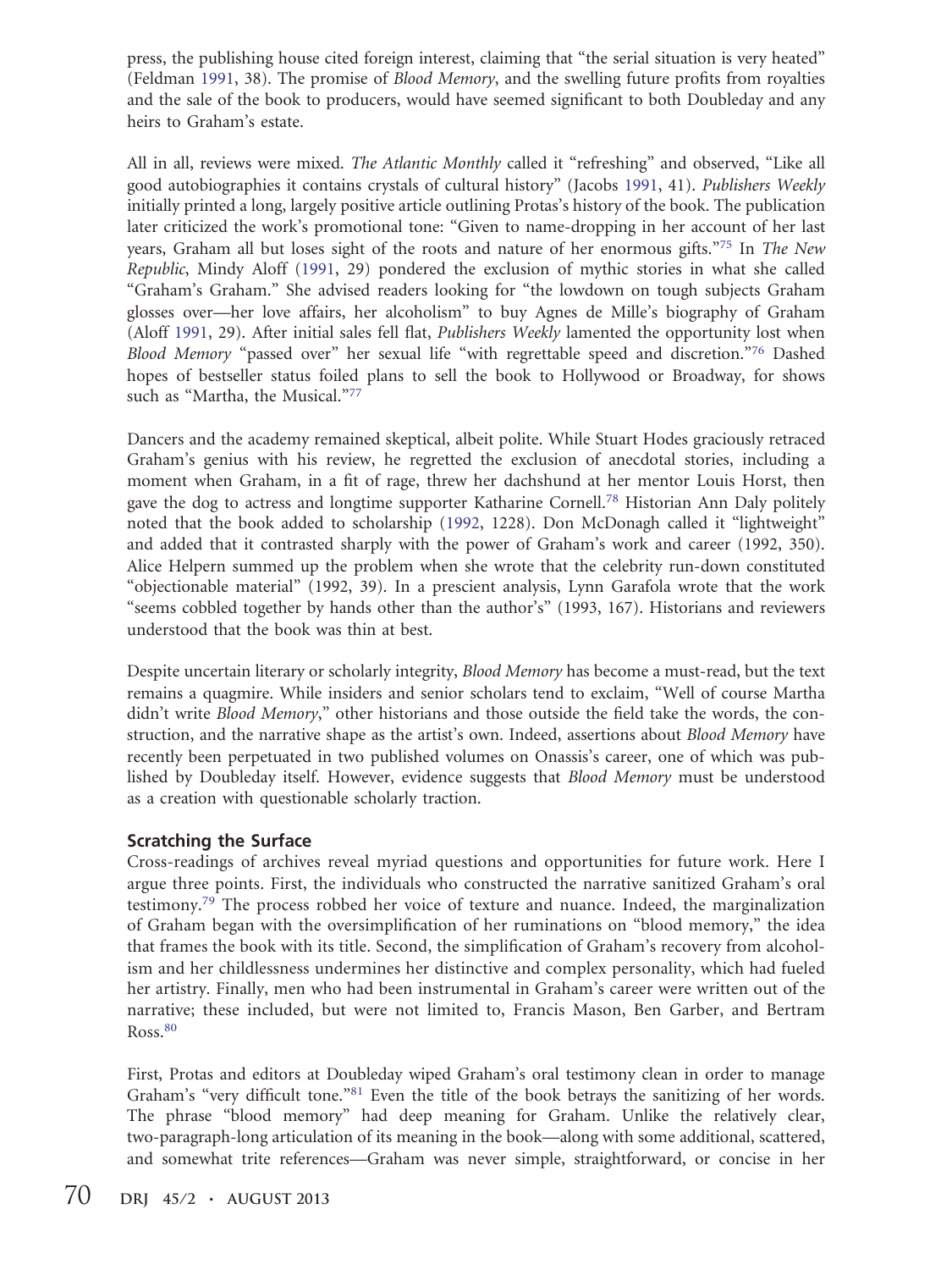press, the publishing house cited foreign interest, claiming that "the serial situation is very heated" (Feldman [1991,](#page-20-0) 38). The promise of Blood Memory, and the swelling future profits from royalties and the sale of the book to producers, would have seemed significant to both Doubleday and any heirs to Graham's estate.

All in all, reviews were mixed. The Atlantic Monthly called it "refreshing" and observed, "Like all good autobiographies it contains crystals of cultural history" (Jacobs [1991](#page-21-0), 41). Publishers Weekly initially printed a long, largely positive article outlining Protas's history of the book. The publication later criticized the work's promotional tone: "Given to name-dropping in her account of her last years, Graham all but loses sight of the roots and nature of her enormous gifts."[75](#page-18-0) In The New Republic, Mindy Aloff ([1991](#page-20-0), 29) pondered the exclusion of mythic stories in what she called "Graham's Graham." She advised readers looking for "the lowdown on tough subjects Graham glosses over—her love affairs, her alcoholism" to buy Agnes de Mille's biography of Graham (Aloff [1991](#page-20-0), 29). After initial sales fell flat, Publishers Weekly lamented the opportunity lost when Blood Memory "passed over" her sexual life "with regrettable speed and discretion."[76](#page-18-0) Dashed hopes of bestseller status foiled plans to sell the book to Hollywood or Broadway, for shows such as "Martha, the Musical."[77](#page-18-0)

Dancers and the academy remained skeptical, albeit polite. While Stuart Hodes graciously retraced Graham's genius with his review, he regretted the exclusion of anecdotal stories, including a moment when Graham, in a fit of rage, threw her dachshund at her mentor Louis Horst, then gave the dog to actress and longtime supporter Katharine Cornell.[78](#page-18-0) Historian Ann Daly politely noted that the book added to scholarship ([1992](#page-20-0), 1228). Don McDonagh called it "lightweight" and added that it contrasted sharply with the power of Graham's work and career (1992, 350). Alice Helpern summed up the problem when she wrote that the celebrity run-down constituted "objectionable material" (1992, 39). In a prescient analysis, Lynn Garafola wrote that the work "seems cobbled together by hands other than the author's" (1993, 167). Historians and reviewers understood that the book was thin at best.

Despite uncertain literary or scholarly integrity, *Blood Memory* has become a must-read, but the text remains a quagmire. While insiders and senior scholars tend to exclaim, "Well of course Martha didn't write Blood Memory," other historians and those outside the field take the words, the construction, and the narrative shape as the artist's own. Indeed, assertions about *Blood Memory* have recently been perpetuated in two published volumes on Onassis's career, one of which was published by Doubleday itself. However, evidence suggests that Blood Memory must be understood as a creation with questionable scholarly traction.

#### Scratching the Surface

Cross-readings of archives reveal myriad questions and opportunities for future work. Here I argue three points. First, the individuals who constructed the narrative sanitized Graham's oral testimony.[79](#page-18-0) The process robbed her voice of texture and nuance. Indeed, the marginalization of Graham began with the oversimplification of her ruminations on "blood memory," the idea that frames the book with its title. Second, the simplification of Graham's recovery from alcoholism and her childlessness undermines her distinctive and complex personality, which had fueled her artistry. Finally, men who had been instrumental in Graham's career were written out of the narrative; these included, but were not limited to, Francis Mason, Ben Garber, and Bertram Ross.[80](#page-18-0)

First, Protas and editors at Doubleday wiped Graham's oral testimony clean in order to manage Graham's "very difficult tone."<sup>[81](#page-18-0)</sup> Even the title of the book betrays the sanitizing of her words. The phrase "blood memory" had deep meaning for Graham. Unlike the relatively clear, two-paragraph-long articulation of its meaning in the book—along with some additional, scattered, and somewhat trite references—Graham was never simple, straightforward, or concise in her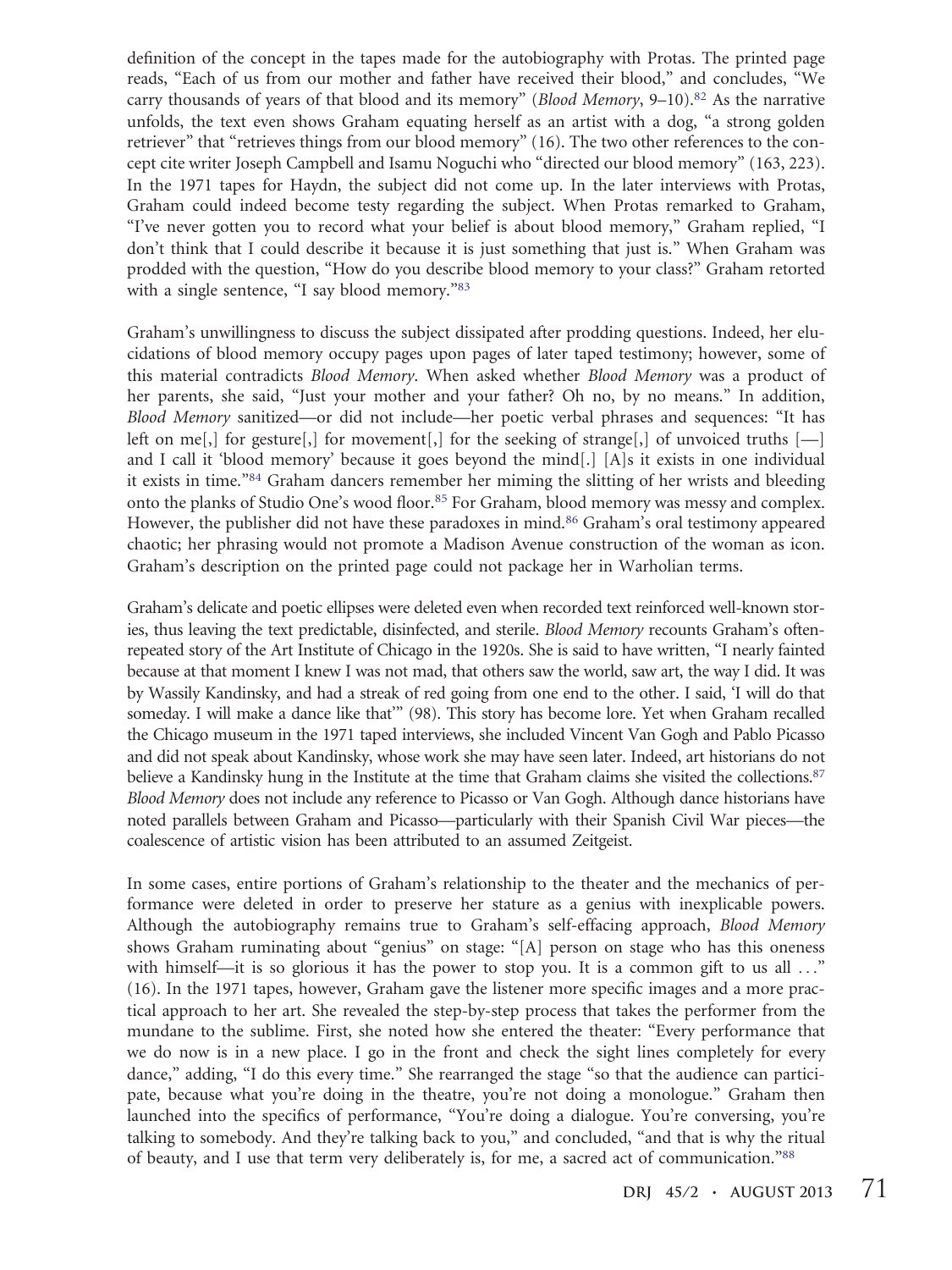definition of the concept in the tapes made for the autobiography with Protas. The printed page reads, "Each of us from our mother and father have received their blood," and concludes, "We carry thousands of years of that blood and its memory" (Blood Memory,  $9-10$ ).<sup>[82](#page-18-0)</sup> As the narrative unfolds, the text even shows Graham equating herself as an artist with a dog, "a strong golden retriever" that "retrieves things from our blood memory" (16). The two other references to the concept cite writer Joseph Campbell and Isamu Noguchi who "directed our blood memory" (163, 223). In the 1971 tapes for Haydn, the subject did not come up. In the later interviews with Protas, Graham could indeed become testy regarding the subject. When Protas remarked to Graham, "I've never gotten you to record what your belief is about blood memory," Graham replied, "I don't think that I could describe it because it is just something that just is." When Graham was prodded with the question, "How do you describe blood memory to your class?" Graham retorted with a single sentence, "I say blood memory."[83](#page-18-0)

Graham's unwillingness to discuss the subject dissipated after prodding questions. Indeed, her elucidations of blood memory occupy pages upon pages of later taped testimony; however, some of this material contradicts Blood Memory. When asked whether Blood Memory was a product of her parents, she said, "Just your mother and your father? Oh no, by no means." In addition, Blood Memory sanitized—or did not include—her poetic verbal phrases and sequences: "It has left on me[,] for gesture[,] for movement[,] for the seeking of strange[,] of unvoiced truths  $[-]$ and I call it 'blood memory' because it goes beyond the mind[.] [A]s it exists in one individual it exists in time."[84](#page-18-0) Graham dancers remember her miming the slitting of her wrists and bleeding onto the planks of Studio One's wood floor.[85](#page-18-0) For Graham, blood memory was messy and complex. However, the publisher did not have these paradoxes in mind.<sup>[86](#page-18-0)</sup> Graham's oral testimony appeared chaotic; her phrasing would not promote a Madison Avenue construction of the woman as icon. Graham's description on the printed page could not package her in Warholian terms.

Graham's delicate and poetic ellipses were deleted even when recorded text reinforced well-known stories, thus leaving the text predictable, disinfected, and sterile. Blood Memory recounts Graham's oftenrepeated story of the Art Institute of Chicago in the 1920s. She is said to have written, "I nearly fainted because at that moment I knew I was not mad, that others saw the world, saw art, the way I did. It was by Wassily Kandinsky, and had a streak of red going from one end to the other. I said, 'I will do that someday. I will make a dance like that'" (98). This story has become lore. Yet when Graham recalled the Chicago museum in the 1971 taped interviews, she included Vincent Van Gogh and Pablo Picasso and did not speak about Kandinsky, whose work she may have seen later. Indeed, art historians do not believe a Kandinsky hung in the Institute at the time that Graham claims she visited the collections.<sup>87</sup> Blood Memory does not include any reference to Picasso or Van Gogh. Although dance historians have noted parallels between Graham and Picasso—particularly with their Spanish Civil War pieces—the coalescence of artistic vision has been attributed to an assumed Zeitgeist.

In some cases, entire portions of Graham's relationship to the theater and the mechanics of performance were deleted in order to preserve her stature as a genius with inexplicable powers. Although the autobiography remains true to Graham's self-effacing approach, Blood Memory shows Graham ruminating about "genius" on stage: "[A] person on stage who has this oneness with himself—it is so glorious it has the power to stop you. It is a common gift to us all ..." (16). In the 1971 tapes, however, Graham gave the listener more specific images and a more practical approach to her art. She revealed the step-by-step process that takes the performer from the mundane to the sublime. First, she noted how she entered the theater: "Every performance that we do now is in a new place. I go in the front and check the sight lines completely for every dance," adding, "I do this every time." She rearranged the stage "so that the audience can participate, because what you're doing in the theatre, you're not doing a monologue." Graham then launched into the specifics of performance, "You're doing a dialogue. You're conversing, you're talking to somebody. And they're talking back to you," and concluded, "and that is why the ritual of beauty, and I use that term very deliberately is, for me, a sacred act of communication."[88](#page-18-0)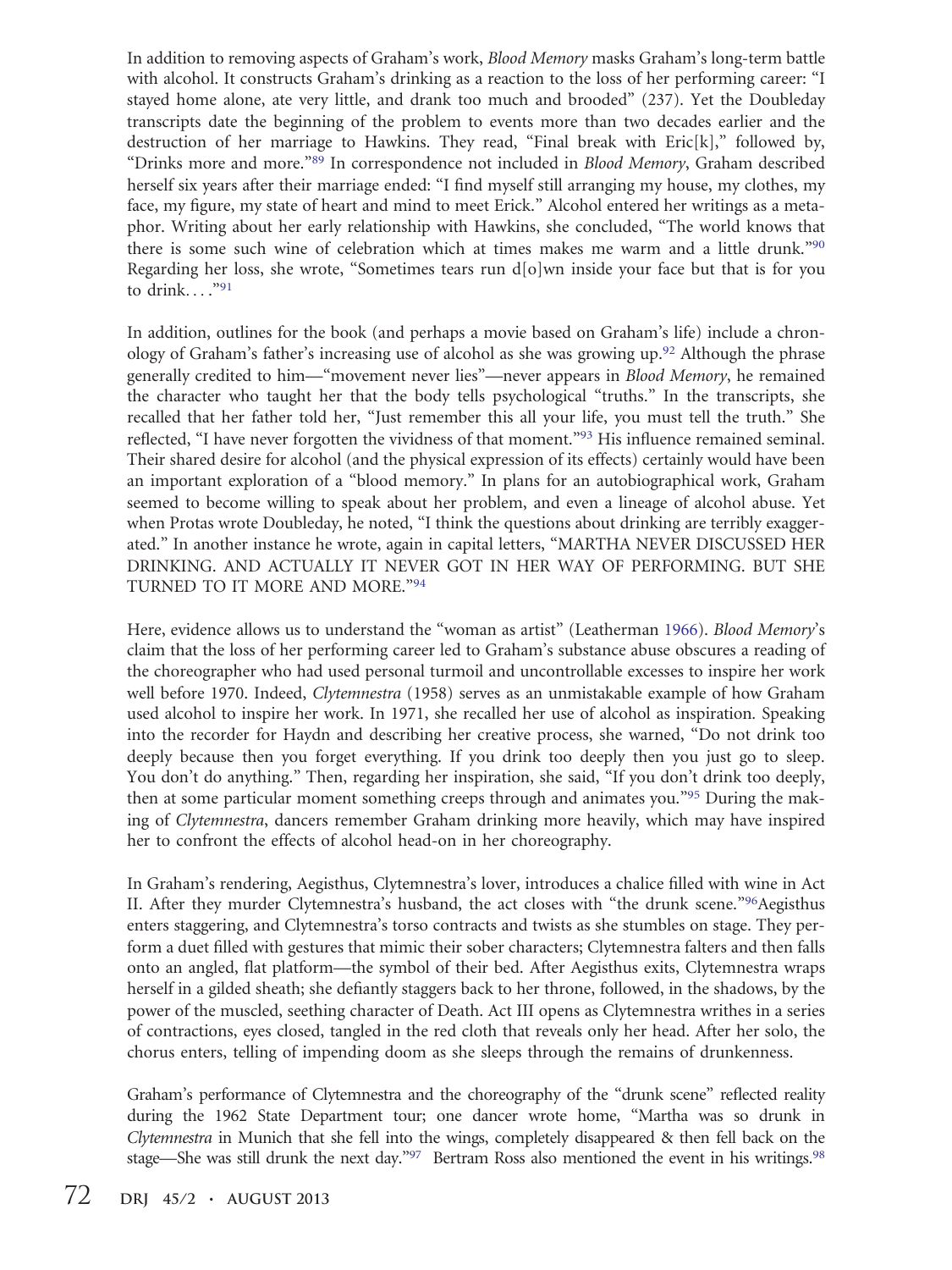In addition to removing aspects of Graham's work, Blood Memory masks Graham's long-term battle with alcohol. It constructs Graham's drinking as a reaction to the loss of her performing career: "I stayed home alone, ate very little, and drank too much and brooded" (237). Yet the Doubleday transcripts date the beginning of the problem to events more than two decades earlier and the destruction of her marriage to Hawkins. They read, "Final break with Eric[k]," followed by, "Drinks more and more."[89](#page-19-0) In correspondence not included in Blood Memory, Graham described herself six years after their marriage ended: "I find myself still arranging my house, my clothes, my face, my figure, my state of heart and mind to meet Erick." Alcohol entered her writings as a metaphor. Writing about her early relationship with Hawkins, she concluded, "The world knows that there is some such wine of celebration which at times makes me warm and a little drunk."[90](#page-19-0) Regarding her loss, she wrote, "Sometimes tears run d[o]wn inside your face but that is for you to drink... $.^{"91}$  $.^{"91}$  $.^{"91}$ 

In addition, outlines for the book (and perhaps a movie based on Graham's life) include a chronology of Graham's father's increasing use of alcohol as she was growing up.[92](#page-19-0) Although the phrase generally credited to him—"movement never lies"—never appears in Blood Memory, he remained the character who taught her that the body tells psychological "truths." In the transcripts, she recalled that her father told her, "Just remember this all your life, you must tell the truth." She reflected, "I have never forgotten the vividness of that moment."[93](#page-19-0) His influence remained seminal. Their shared desire for alcohol (and the physical expression of its effects) certainly would have been an important exploration of a "blood memory." In plans for an autobiographical work, Graham seemed to become willing to speak about her problem, and even a lineage of alcohol abuse. Yet when Protas wrote Doubleday, he noted, "I think the questions about drinking are terribly exaggerated." In another instance he wrote, again in capital letters, "MARTHA NEVER DISCUSSED HER DRINKING. AND ACTUALLY IT NEVER GOT IN HER WAY OF PERFORMING. BUT SHE TURNED TO IT MORE AND MORE."[94](#page-19-0)

Here, evidence allows us to understand the "woman as artist" (Leatherman [1966\)](#page-21-0). Blood Memory's claim that the loss of her performing career led to Graham's substance abuse obscures a reading of the choreographer who had used personal turmoil and uncontrollable excesses to inspire her work well before 1970. Indeed, Clytemnestra (1958) serves as an unmistakable example of how Graham used alcohol to inspire her work. In 1971, she recalled her use of alcohol as inspiration. Speaking into the recorder for Haydn and describing her creative process, she warned, "Do not drink too deeply because then you forget everything. If you drink too deeply then you just go to sleep. You don't do anything." Then, regarding her inspiration, she said, "If you don't drink too deeply, then at some particular moment something creeps through and animates you."<sup>[95](#page-19-0)</sup> During the making of Clytemnestra, dancers remember Graham drinking more heavily, which may have inspired her to confront the effects of alcohol head-on in her choreography.

In Graham's rendering, Aegisthus, Clytemnestra's lover, introduces a chalice filled with wine in Act II. After they murder Clytemnestra's husband, the act closes with "the drunk scene."<sup>96</sup>Aegisthus enters staggering, and Clytemnestra's torso contracts and twists as she stumbles on stage. They perform a duet filled with gestures that mimic their sober characters; Clytemnestra falters and then falls onto an angled, flat platform—the symbol of their bed. After Aegisthus exits, Clytemnestra wraps herself in a gilded sheath; she defiantly staggers back to her throne, followed, in the shadows, by the power of the muscled, seething character of Death. Act III opens as Clytemnestra writhes in a series of contractions, eyes closed, tangled in the red cloth that reveals only her head. After her solo, the chorus enters, telling of impending doom as she sleeps through the remains of drunkenness.

Graham's performance of Clytemnestra and the choreography of the "drunk scene" reflected reality during the 1962 State Department tour; one dancer wrote home, "Martha was so drunk in Clytemnestra in Munich that she fell into the wings, completely disappeared & then fell back on the stage—She was still drunk the next day."<sup>[97](#page-19-0)</sup> Bertram Ross also mentioned the event in his writings.<sup>98</sup>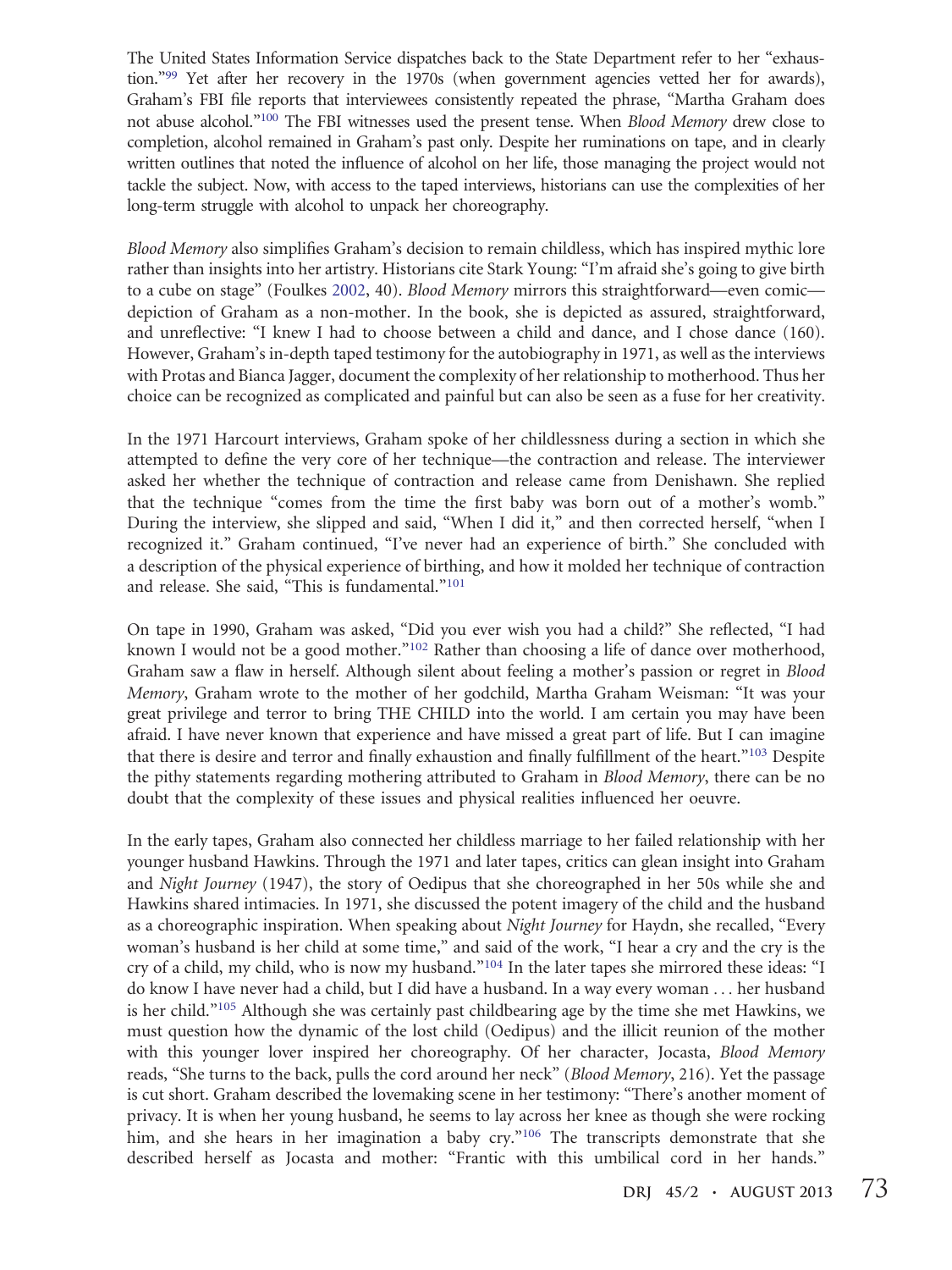The United States Information Service dispatches back to the State Department refer to her "exhaustion."[99](#page-19-0) Yet after her recovery in the 1970s (when government agencies vetted her for awards), Graham's FBI file reports that interviewees consistently repeated the phrase, "Martha Graham does not abuse alcohol."<sup>[100](#page-19-0)</sup> The FBI witnesses used the present tense. When Blood Memory drew close to completion, alcohol remained in Graham's past only. Despite her ruminations on tape, and in clearly written outlines that noted the influence of alcohol on her life, those managing the project would not tackle the subject. Now, with access to the taped interviews, historians can use the complexities of her long-term struggle with alcohol to unpack her choreography.

Blood Memory also simplifies Graham's decision to remain childless, which has inspired mythic lore rather than insights into her artistry. Historians cite Stark Young: "I'm afraid she's going to give birth to a cube on stage" (Foulkes [2002](#page-20-0), 40). Blood Memory mirrors this straightforward—even comic depiction of Graham as a non-mother. In the book, she is depicted as assured, straightforward, and unreflective: "I knew I had to choose between a child and dance, and I chose dance (160). However, Graham's in-depth taped testimony for the autobiography in 1971, as well as the interviews with Protas and Bianca Jagger, document the complexity of her relationship to motherhood. Thus her choice can be recognized as complicated and painful but can also be seen as a fuse for her creativity.

In the 1971 Harcourt interviews, Graham spoke of her childlessness during a section in which she attempted to define the very core of her technique—the contraction and release. The interviewer asked her whether the technique of contraction and release came from Denishawn. She replied that the technique "comes from the time the first baby was born out of a mother's womb." During the interview, she slipped and said, "When I did it," and then corrected herself, "when I recognized it." Graham continued, "I've never had an experience of birth." She concluded with a description of the physical experience of birthing, and how it molded her technique of contraction and release. She said, "This is fundamental."[101](#page-19-0)

On tape in 1990, Graham was asked, "Did you ever wish you had a child?" She reflected, "I had known I would not be a good mother."<sup>[102](#page-19-0)</sup> Rather than choosing a life of dance over motherhood, Graham saw a flaw in herself. Although silent about feeling a mother's passion or regret in Blood Memory, Graham wrote to the mother of her godchild, Martha Graham Weisman: "It was your great privilege and terror to bring THE CHILD into the world. I am certain you may have been afraid. I have never known that experience and have missed a great part of life. But I can imagine that there is desire and terror and finally exhaustion and finally fulfillment of the heart."[103](#page-19-0) Despite the pithy statements regarding mothering attributed to Graham in Blood Memory, there can be no doubt that the complexity of these issues and physical realities influenced her oeuvre.

In the early tapes, Graham also connected her childless marriage to her failed relationship with her younger husband Hawkins. Through the 1971 and later tapes, critics can glean insight into Graham and Night Journey (1947), the story of Oedipus that she choreographed in her 50s while she and Hawkins shared intimacies. In 1971, she discussed the potent imagery of the child and the husband as a choreographic inspiration. When speaking about *Night Journey* for Haydn, she recalled, "Every woman's husband is her child at some time," and said of the work, "I hear a cry and the cry is the cry of a child, my child, who is now my husband."[104](#page-19-0) In the later tapes she mirrored these ideas: "I do know I have never had a child, but I did have a husband. In a way every woman ... her husband is her child."[105](#page-19-0) Although she was certainly past childbearing age by the time she met Hawkins, we must question how the dynamic of the lost child (Oedipus) and the illicit reunion of the mother with this younger lover inspired her choreography. Of her character, Jocasta, *Blood Memory* reads, "She turns to the back, pulls the cord around her neck" (Blood Memory, 216). Yet the passage is cut short. Graham described the lovemaking scene in her testimony: "There's another moment of privacy. It is when her young husband, he seems to lay across her knee as though she were rocking him, and she hears in her imagination a baby cry."<sup>[106](#page-19-0)</sup> The transcripts demonstrate that she described herself as Jocasta and mother: "Frantic with this umbilical cord in her hands."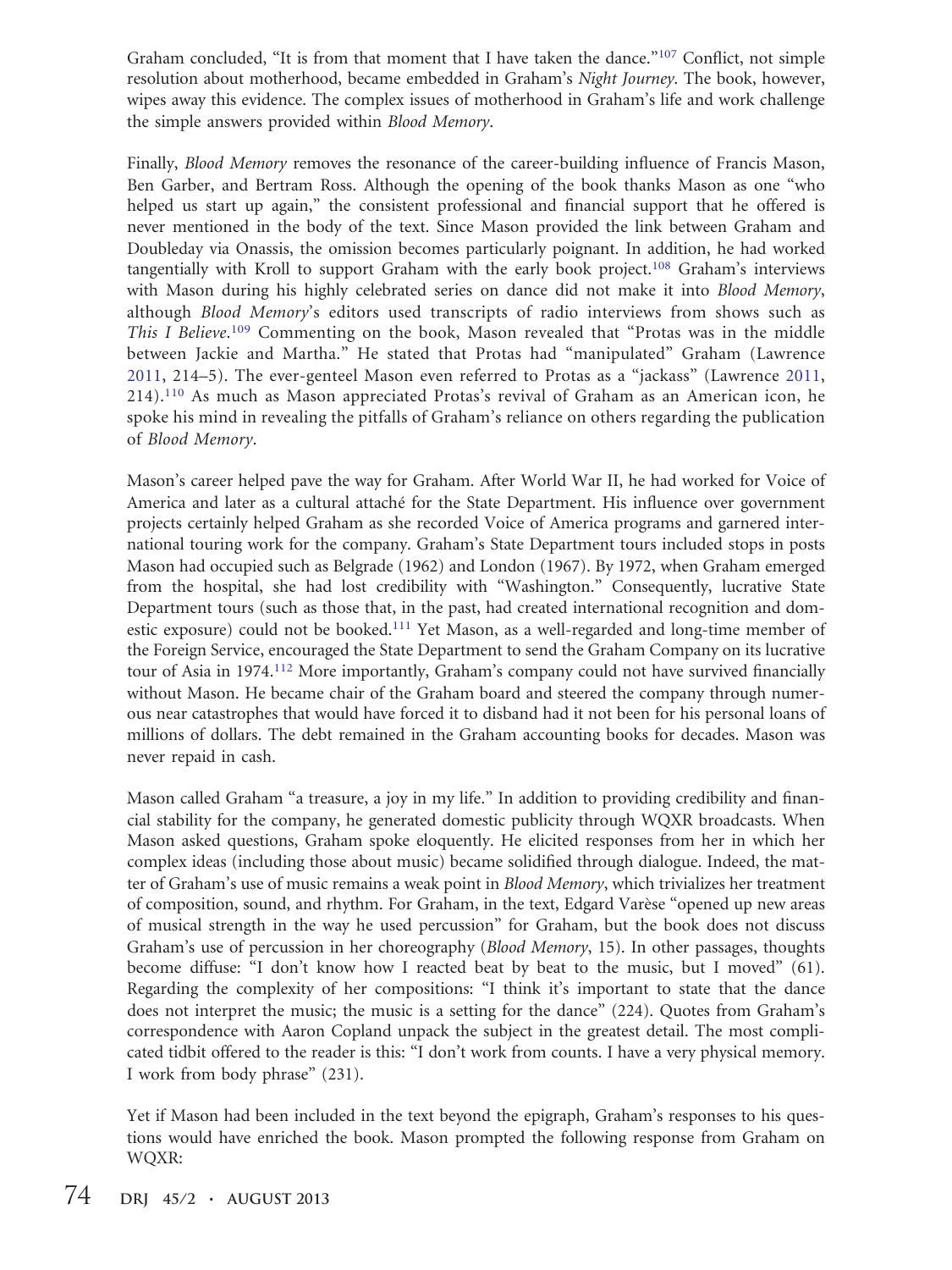Graham concluded, "It is from that moment that I have taken the dance."<sup>[107](#page-19-0)</sup> Conflict, not simple resolution about motherhood, became embedded in Graham's Night Journey. The book, however, wipes away this evidence. The complex issues of motherhood in Graham's life and work challenge the simple answers provided within Blood Memory.

Finally, Blood Memory removes the resonance of the career-building influence of Francis Mason, Ben Garber, and Bertram Ross. Although the opening of the book thanks Mason as one "who helped us start up again," the consistent professional and financial support that he offered is never mentioned in the body of the text. Since Mason provided the link between Graham and Doubleday via Onassis, the omission becomes particularly poignant. In addition, he had worked tangentially with Kroll to support Graham with the early book project.<sup>[108](#page-19-0)</sup> Graham's interviews with Mason during his highly celebrated series on dance did not make it into Blood Memory, although Blood Memory's editors used transcripts of radio interviews from shows such as This I Believe.<sup>[109](#page-19-0)</sup> Commenting on the book, Mason revealed that "Protas was in the middle between Jackie and Martha." He stated that Protas had "manipulated" Graham (Lawrence [2011,](#page-21-0) 214–5). The ever-genteel Mason even referred to Protas as a "jackass" (Lawrence [2011,](#page-21-0) 214).[110](#page-19-0) As much as Mason appreciated Protas's revival of Graham as an American icon, he spoke his mind in revealing the pitfalls of Graham's reliance on others regarding the publication of Blood Memory.

Mason's career helped pave the way for Graham. After World War II, he had worked for Voice of America and later as a cultural attaché for the State Department. His influence over government projects certainly helped Graham as she recorded Voice of America programs and garnered international touring work for the company. Graham's State Department tours included stops in posts Mason had occupied such as Belgrade (1962) and London (1967). By 1972, when Graham emerged from the hospital, she had lost credibility with "Washington." Consequently, lucrative State Department tours (such as those that, in the past, had created international recognition and domestic exposure) could not be booked.[111](#page-19-0) Yet Mason, as a well-regarded and long-time member of the Foreign Service, encouraged the State Department to send the Graham Company on its lucrative tour of Asia in 1974.[112](#page-19-0) More importantly, Graham's company could not have survived financially without Mason. He became chair of the Graham board and steered the company through numerous near catastrophes that would have forced it to disband had it not been for his personal loans of millions of dollars. The debt remained in the Graham accounting books for decades. Mason was never repaid in cash.

Mason called Graham "a treasure, a joy in my life." In addition to providing credibility and financial stability for the company, he generated domestic publicity through WQXR broadcasts. When Mason asked questions, Graham spoke eloquently. He elicited responses from her in which her complex ideas (including those about music) became solidified through dialogue. Indeed, the matter of Graham's use of music remains a weak point in Blood Memory, which trivializes her treatment of composition, sound, and rhythm. For Graham, in the text, Edgard Varèse "opened up new areas of musical strength in the way he used percussion" for Graham, but the book does not discuss Graham's use of percussion in her choreography (Blood Memory, 15). In other passages, thoughts become diffuse: "I don't know how I reacted beat by beat to the music, but I moved" (61). Regarding the complexity of her compositions: "I think it's important to state that the dance does not interpret the music; the music is a setting for the dance" (224). Quotes from Graham's correspondence with Aaron Copland unpack the subject in the greatest detail. The most complicated tidbit offered to the reader is this: "I don't work from counts. I have a very physical memory. I work from body phrase" (231).

Yet if Mason had been included in the text beyond the epigraph, Graham's responses to his questions would have enriched the book. Mason prompted the following response from Graham on WQXR: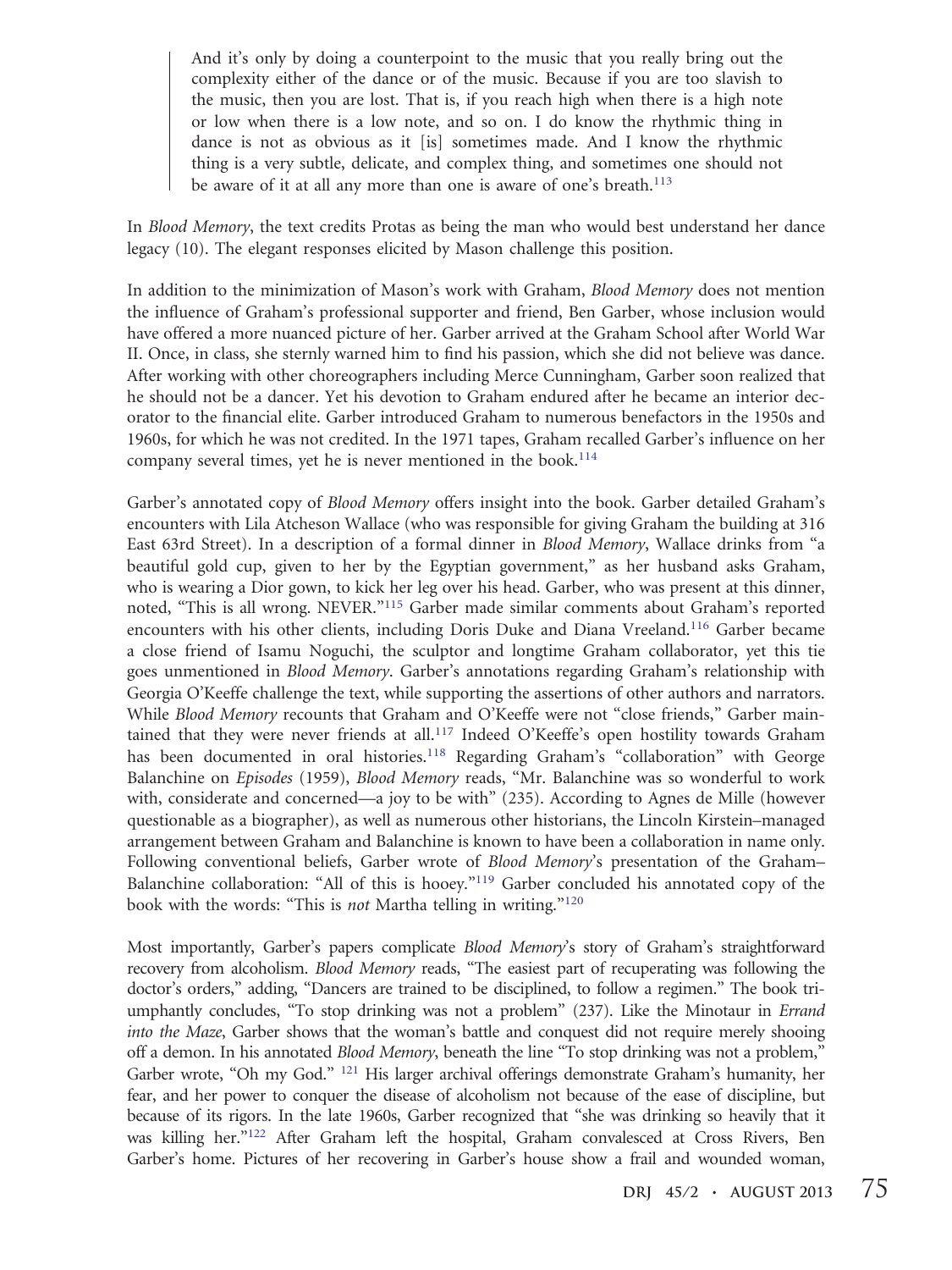And it's only by doing a counterpoint to the music that you really bring out the complexity either of the dance or of the music. Because if you are too slavish to the music, then you are lost. That is, if you reach high when there is a high note or low when there is a low note, and so on. I do know the rhythmic thing in dance is not as obvious as it [is] sometimes made. And I know the rhythmic thing is a very subtle, delicate, and complex thing, and sometimes one should not be aware of it at all any more than one is aware of one's breath.<sup>[113](#page-19-0)</sup>

In Blood Memory, the text credits Protas as being the man who would best understand her dance legacy (10). The elegant responses elicited by Mason challenge this position.

In addition to the minimization of Mason's work with Graham, Blood Memory does not mention the influence of Graham's professional supporter and friend, Ben Garber, whose inclusion would have offered a more nuanced picture of her. Garber arrived at the Graham School after World War II. Once, in class, she sternly warned him to find his passion, which she did not believe was dance. After working with other choreographers including Merce Cunningham, Garber soon realized that he should not be a dancer. Yet his devotion to Graham endured after he became an interior decorator to the financial elite. Garber introduced Graham to numerous benefactors in the 1950s and 1960s, for which he was not credited. In the 1971 tapes, Graham recalled Garber's influence on her company several times, yet he is never mentioned in the book.<sup>[114](#page-19-0)</sup>

Garber's annotated copy of Blood Memory offers insight into the book. Garber detailed Graham's encounters with Lila Atcheson Wallace (who was responsible for giving Graham the building at 316 East 63rd Street). In a description of a formal dinner in Blood Memory, Wallace drinks from "a beautiful gold cup, given to her by the Egyptian government," as her husband asks Graham, who is wearing a Dior gown, to kick her leg over his head. Garber, who was present at this dinner, noted, "This is all wrong. NEVER."[115](#page-19-0) Garber made similar comments about Graham's reported encounters with his other clients, including Doris Duke and Diana Vreeland.<sup>116</sup> Garber became a close friend of Isamu Noguchi, the sculptor and longtime Graham collaborator, yet this tie goes unmentioned in Blood Memory. Garber's annotations regarding Graham's relationship with Georgia O'Keeffe challenge the text, while supporting the assertions of other authors and narrators. While Blood Memory recounts that Graham and O'Keeffe were not "close friends," Garber main-tained that they were never friends at all.<sup>[117](#page-19-0)</sup> Indeed O'Keeffe's open hostility towards Graham has been documented in oral histories.<sup>118</sup> Regarding Graham's "collaboration" with George Balanchine on Episodes (1959), Blood Memory reads, "Mr. Balanchine was so wonderful to work with, considerate and concerned—a joy to be with" (235). According to Agnes de Mille (however questionable as a biographer), as well as numerous other historians, the Lincoln Kirstein–managed arrangement between Graham and Balanchine is known to have been a collaboration in name only. Following conventional beliefs, Garber wrote of Blood Memory's presentation of the Graham– Balanchine collaboration: "All of this is hooey."[119](#page-20-0) Garber concluded his annotated copy of the book with the words: "This is not Martha telling in writing."<sup>[120](#page-20-0)</sup>

Most importantly, Garber's papers complicate Blood Memory's story of Graham's straightforward recovery from alcoholism. Blood Memory reads, "The easiest part of recuperating was following the doctor's orders," adding, "Dancers are trained to be disciplined, to follow a regimen." The book triumphantly concludes, "To stop drinking was not a problem" (237). Like the Minotaur in *Errand* into the Maze, Garber shows that the woman's battle and conquest did not require merely shooing off a demon. In his annotated *Blood Memory*, beneath the line "To stop drinking was not a problem," Garber wrote, "Oh my God." [121](#page-20-0) His larger archival offerings demonstrate Graham's humanity, her fear, and her power to conquer the disease of alcoholism not because of the ease of discipline, but because of its rigors. In the late 1960s, Garber recognized that "she was drinking so heavily that it was killing her."[122](#page-20-0) After Graham left the hospital, Graham convalesced at Cross Rivers, Ben Garber's home. Pictures of her recovering in Garber's house show a frail and wounded woman,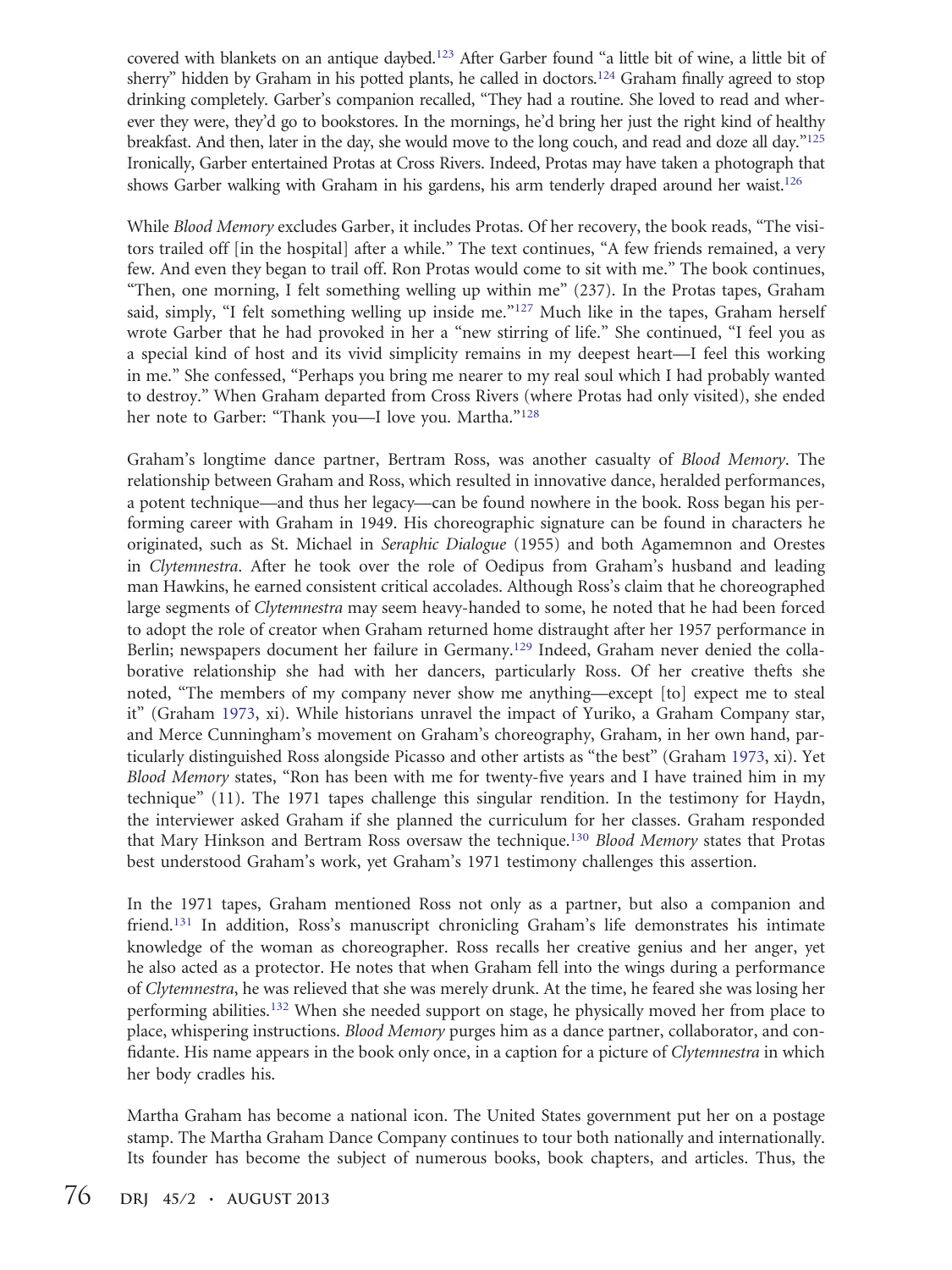covered with blankets on an antique daybed[.123](#page-20-0) After Garber found "a little bit of wine, a little bit of sherry" hidden by Graham in his potted plants, he called in doctors.<sup>[124](#page-20-0)</sup> Graham finally agreed to stop drinking completely. Garber's companion recalled, "They had a routine. She loved to read and wherever they were, they'd go to bookstores. In the mornings, he'd bring her just the right kind of healthy breakfast. And then, later in the day, she would move to the long couch, and read and doze all day."[125](#page-20-0) Ironically, Garber entertained Protas at Cross Rivers. Indeed, Protas may have taken a photograph that shows Garber walking with Graham in his gardens, his arm tenderly draped around her waist.[126](#page-20-0)

While Blood Memory excludes Garber, it includes Protas. Of her recovery, the book reads, "The visitors trailed off [in the hospital] after a while." The text continues, "A few friends remained, a very few. And even they began to trail off. Ron Protas would come to sit with me." The book continues, "Then, one morning, I felt something welling up within me" (237). In the Protas tapes, Graham said, simply, "I felt something welling up inside me."<sup>[127](#page-20-0)</sup> Much like in the tapes, Graham herself wrote Garber that he had provoked in her a "new stirring of life." She continued, "I feel you as a special kind of host and its vivid simplicity remains in my deepest heart—I feel this working in me." She confessed, "Perhaps you bring me nearer to my real soul which I had probably wanted to destroy." When Graham departed from Cross Rivers (where Protas had only visited), she ended her note to Garber: "Thank you-I love you. Martha."<sup>[128](#page-20-0)</sup>

Graham's longtime dance partner, Bertram Ross, was another casualty of Blood Memory. The relationship between Graham and Ross, which resulted in innovative dance, heralded performances, a potent technique—and thus her legacy—can be found nowhere in the book. Ross began his performing career with Graham in 1949. His choreographic signature can be found in characters he originated, such as St. Michael in Seraphic Dialogue (1955) and both Agamemnon and Orestes in Clytemnestra. After he took over the role of Oedipus from Graham's husband and leading man Hawkins, he earned consistent critical accolades. Although Ross's claim that he choreographed large segments of Clytemnestra may seem heavy-handed to some, he noted that he had been forced to adopt the role of creator when Graham returned home distraught after her 1957 performance in Berlin; newspapers document her failure in Germany[.129](#page-20-0) Indeed, Graham never denied the collaborative relationship she had with her dancers, particularly Ross. Of her creative thefts she noted, "The members of my company never show me anything—except [to] expect me to steal it" (Graham [1973,](#page-21-0) xi). While historians unravel the impact of Yuriko, a Graham Company star, and Merce Cunningham's movement on Graham's choreography, Graham, in her own hand, particularly distinguished Ross alongside Picasso and other artists as "the best" (Graham [1973,](#page-21-0) xi). Yet Blood Memory states, "Ron has been with me for twenty-five years and I have trained him in my technique" (11). The 1971 tapes challenge this singular rendition. In the testimony for Haydn, the interviewer asked Graham if she planned the curriculum for her classes. Graham responded that Mary Hinkson and Bertram Ross oversaw the technique.<sup>[130](#page-20-0)</sup> Blood Memory states that Protas best understood Graham's work, yet Graham's 1971 testimony challenges this assertion.

In the 1971 tapes, Graham mentioned Ross not only as a partner, but also a companion and friend.[131](#page-20-0) In addition, Ross's manuscript chronicling Graham's life demonstrates his intimate knowledge of the woman as choreographer. Ross recalls her creative genius and her anger, yet he also acted as a protector. He notes that when Graham fell into the wings during a performance of Clytemnestra, he was relieved that she was merely drunk. At the time, he feared she was losing her performing abilities.[132](#page-20-0) When she needed support on stage, he physically moved her from place to place, whispering instructions. Blood Memory purges him as a dance partner, collaborator, and confidante. His name appears in the book only once, in a caption for a picture of *Clytemnestra* in which her body cradles his.

Martha Graham has become a national icon. The United States government put her on a postage stamp. The Martha Graham Dance Company continues to tour both nationally and internationally. Its founder has become the subject of numerous books, book chapters, and articles. Thus, the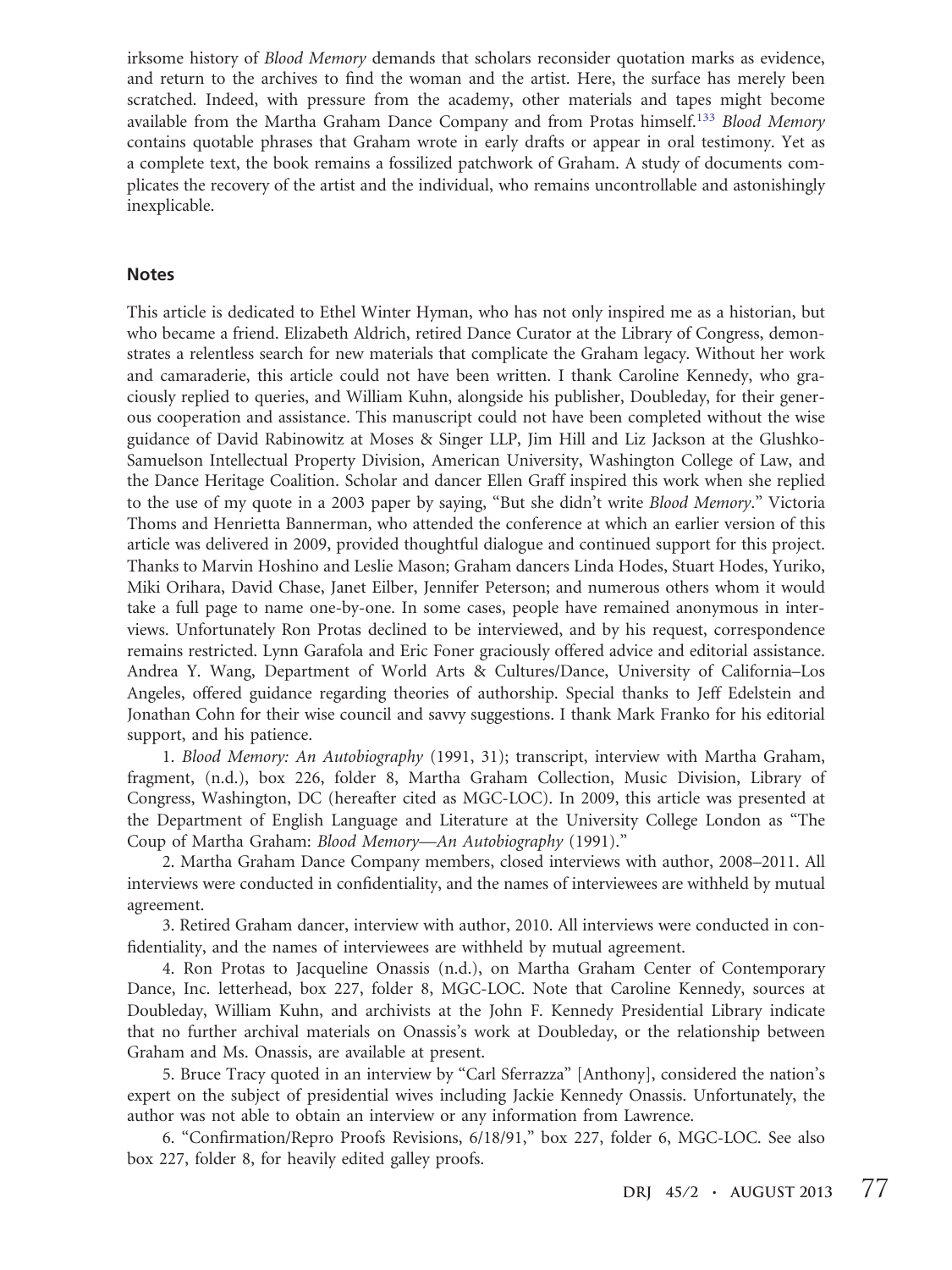<span id="page-15-0"></span>irksome history of Blood Memory demands that scholars reconsider quotation marks as evidence, and return to the archives to find the woman and the artist. Here, the surface has merely been scratched. Indeed, with pressure from the academy, other materials and tapes might become available from the Martha Graham Dance Company and from Protas himself.<sup>133</sup> Blood Memory contains quotable phrases that Graham wrote in early drafts or appear in oral testimony. Yet as a complete text, the book remains a fossilized patchwork of Graham. A study of documents complicates the recovery of the artist and the individual, who remains uncontrollable and astonishingly inexplicable.

#### Notes

This article is dedicated to Ethel Winter Hyman, who has not only inspired me as a historian, but who became a friend. Elizabeth Aldrich, retired Dance Curator at the Library of Congress, demonstrates a relentless search for new materials that complicate the Graham legacy. Without her work and camaraderie, this article could not have been written. I thank Caroline Kennedy, who graciously replied to queries, and William Kuhn, alongside his publisher, Doubleday, for their generous cooperation and assistance. This manuscript could not have been completed without the wise guidance of David Rabinowitz at Moses & Singer LLP, Jim Hill and Liz Jackson at the Glushko-Samuelson Intellectual Property Division, American University, Washington College of Law, and the Dance Heritage Coalition. Scholar and dancer Ellen Graff inspired this work when she replied to the use of my quote in a 2003 paper by saying, "But she didn't write Blood Memory." Victoria Thoms and Henrietta Bannerman, who attended the conference at which an earlier version of this article was delivered in 2009, provided thoughtful dialogue and continued support for this project. Thanks to Marvin Hoshino and Leslie Mason; Graham dancers Linda Hodes, Stuart Hodes, Yuriko, Miki Orihara, David Chase, Janet Eilber, Jennifer Peterson; and numerous others whom it would take a full page to name one-by-one. In some cases, people have remained anonymous in interviews. Unfortunately Ron Protas declined to be interviewed, and by his request, correspondence remains restricted. Lynn Garafola and Eric Foner graciously offered advice and editorial assistance. Andrea Y. Wang, Department of World Arts & Cultures/Dance, University of California–Los Angeles, offered guidance regarding theories of authorship. Special thanks to Jeff Edelstein and Jonathan Cohn for their wise council and savvy suggestions. I thank Mark Franko for his editorial support, and his patience.

1. Blood Memory: An Autobiography (1991, 31); transcript, interview with Martha Graham, fragment, (n.d.), box 226, folder 8, Martha Graham Collection, Music Division, Library of Congress, Washington, DC (hereafter cited as MGC-LOC). In 2009, this article was presented at the Department of English Language and Literature at the University College London as "The Coup of Martha Graham: Blood Memory—An Autobiography (1991)."

2. Martha Graham Dance Company members, closed interviews with author, 2008–2011. All interviews were conducted in confidentiality, and the names of interviewees are withheld by mutual agreement.

3. Retired Graham dancer, interview with author, 2010. All interviews were conducted in confidentiality, and the names of interviewees are withheld by mutual agreement.

4. Ron Protas to Jacqueline Onassis (n.d.), on Martha Graham Center of Contemporary Dance, Inc. letterhead, box 227, folder 8, MGC-LOC. Note that Caroline Kennedy, sources at Doubleday, William Kuhn, and archivists at the John F. Kennedy Presidential Library indicate that no further archival materials on Onassis's work at Doubleday, or the relationship between Graham and Ms. Onassis, are available at present.

5. Bruce Tracy quoted in an interview by "Carl Sferrazza" [Anthony], considered the nation's expert on the subject of presidential wives including Jackie Kennedy Onassis. Unfortunately, the author was not able to obtain an interview or any information from Lawrence.

6. "Confirmation/Repro Proofs Revisions, 6/18/91," box 227, folder 6, MGC-LOC. See also box 227, folder 8, for heavily edited galley proofs.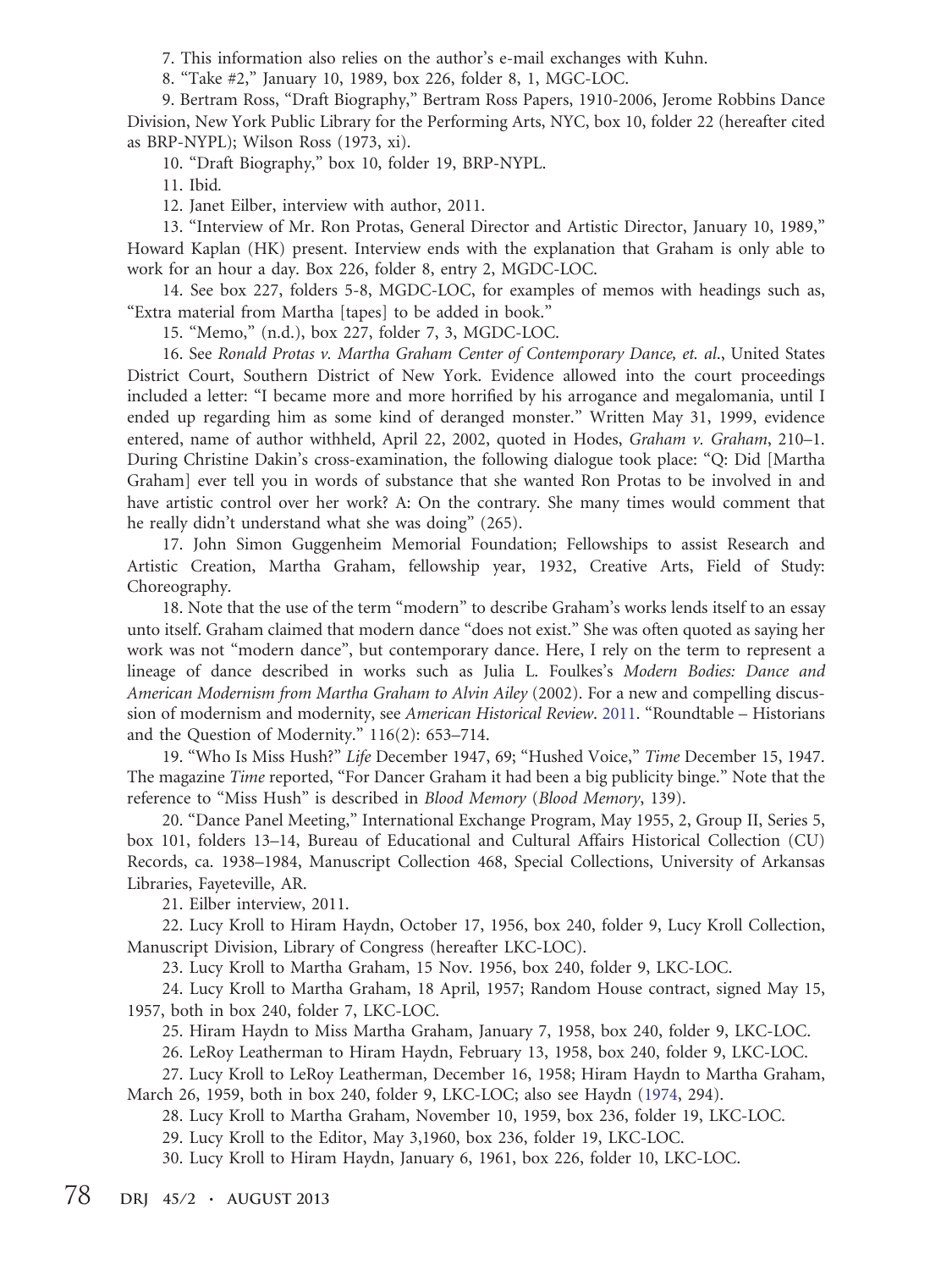7. This information also relies on the author's e-mail exchanges with Kuhn.

8. "Take #2," January 10, 1989, box 226, folder 8, 1, MGC-LOC.

<span id="page-16-0"></span>9. Bertram Ross, "Draft Biography," Bertram Ross Papers, 1910-2006, Jerome Robbins Dance Division, New York Public Library for the Performing Arts, NYC, box 10, folder 22 (hereafter cited as BRP-NYPL); Wilson Ross (1973, xi).

10. "Draft Biography," box 10, folder 19, BRP-NYPL.

11. Ibid.

12. Janet Eilber, interview with author, 2011.

13. "Interview of Mr. Ron Protas, General Director and Artistic Director, January 10, 1989," Howard Kaplan (HK) present. Interview ends with the explanation that Graham is only able to work for an hour a day. Box 226, folder 8, entry 2, MGDC-LOC.

14. See box 227, folders 5-8, MGDC-LOC, for examples of memos with headings such as, "Extra material from Martha [tapes] to be added in book."

15. "Memo," (n.d.), box 227, folder 7, 3, MGDC-LOC.

16. See Ronald Protas v. Martha Graham Center of Contemporary Dance, et. al., United States District Court, Southern District of New York. Evidence allowed into the court proceedings included a letter: "I became more and more horrified by his arrogance and megalomania, until I ended up regarding him as some kind of deranged monster." Written May 31, 1999, evidence entered, name of author withheld, April 22, 2002, quoted in Hodes, Graham v. Graham, 210-1. During Christine Dakin's cross-examination, the following dialogue took place: "Q: Did [Martha Graham] ever tell you in words of substance that she wanted Ron Protas to be involved in and have artistic control over her work? A: On the contrary. She many times would comment that he really didn't understand what she was doing" (265).

17. John Simon Guggenheim Memorial Foundation; Fellowships to assist Research and Artistic Creation, Martha Graham, fellowship year, 1932, Creative Arts, Field of Study: Choreography.

18. Note that the use of the term "modern" to describe Graham's works lends itself to an essay unto itself. Graham claimed that modern dance "does not exist." She was often quoted as saying her work was not "modern dance", but contemporary dance. Here, I rely on the term to represent a lineage of dance described in works such as Julia L. Foulkes's Modern Bodies: Dance and American Modernism from Martha Graham to Alvin Ailey (2002). For a new and compelling discus-sion of modernism and modernity, see American Historical Review. [2011.](#page-20-0) "Roundtable - Historians and the Question of Modernity." 116(2): 653–714.

19. "Who Is Miss Hush?" Life December 1947, 69; "Hushed Voice," Time December 15, 1947. The magazine Time reported, "For Dancer Graham it had been a big publicity binge." Note that the reference to "Miss Hush" is described in Blood Memory (Blood Memory, 139).

20. "Dance Panel Meeting," International Exchange Program, May 1955, 2, Group II, Series 5, box 101, folders 13–14, Bureau of Educational and Cultural Affairs Historical Collection (CU) Records, ca. 1938–1984, Manuscript Collection 468, Special Collections, University of Arkansas Libraries, Fayeteville, AR.

21. Eilber interview, 2011.

22. Lucy Kroll to Hiram Haydn, October 17, 1956, box 240, folder 9, Lucy Kroll Collection, Manuscript Division, Library of Congress (hereafter LKC-LOC).

23. Lucy Kroll to Martha Graham, 15 Nov. 1956, box 240, folder 9, LKC-LOC.

24. Lucy Kroll to Martha Graham, 18 April, 1957; Random House contract, signed May 15, 1957, both in box 240, folder 7, LKC-LOC.

25. Hiram Haydn to Miss Martha Graham, January 7, 1958, box 240, folder 9, LKC-LOC.

26. LeRoy Leatherman to Hiram Haydn, February 13, 1958, box 240, folder 9, LKC-LOC.

27. Lucy Kroll to LeRoy Leatherman, December 16, 1958; Hiram Haydn to Martha Graham, March 26, 1959, both in box 240, folder 9, LKC-LOC; also see Haydn [\(1974](#page-21-0), 294).

28. Lucy Kroll to Martha Graham, November 10, 1959, box 236, folder 19, LKC-LOC.

29. Lucy Kroll to the Editor, May 3,1960, box 236, folder 19, LKC-LOC.

30. Lucy Kroll to Hiram Haydn, January 6, 1961, box 226, folder 10, LKC-LOC.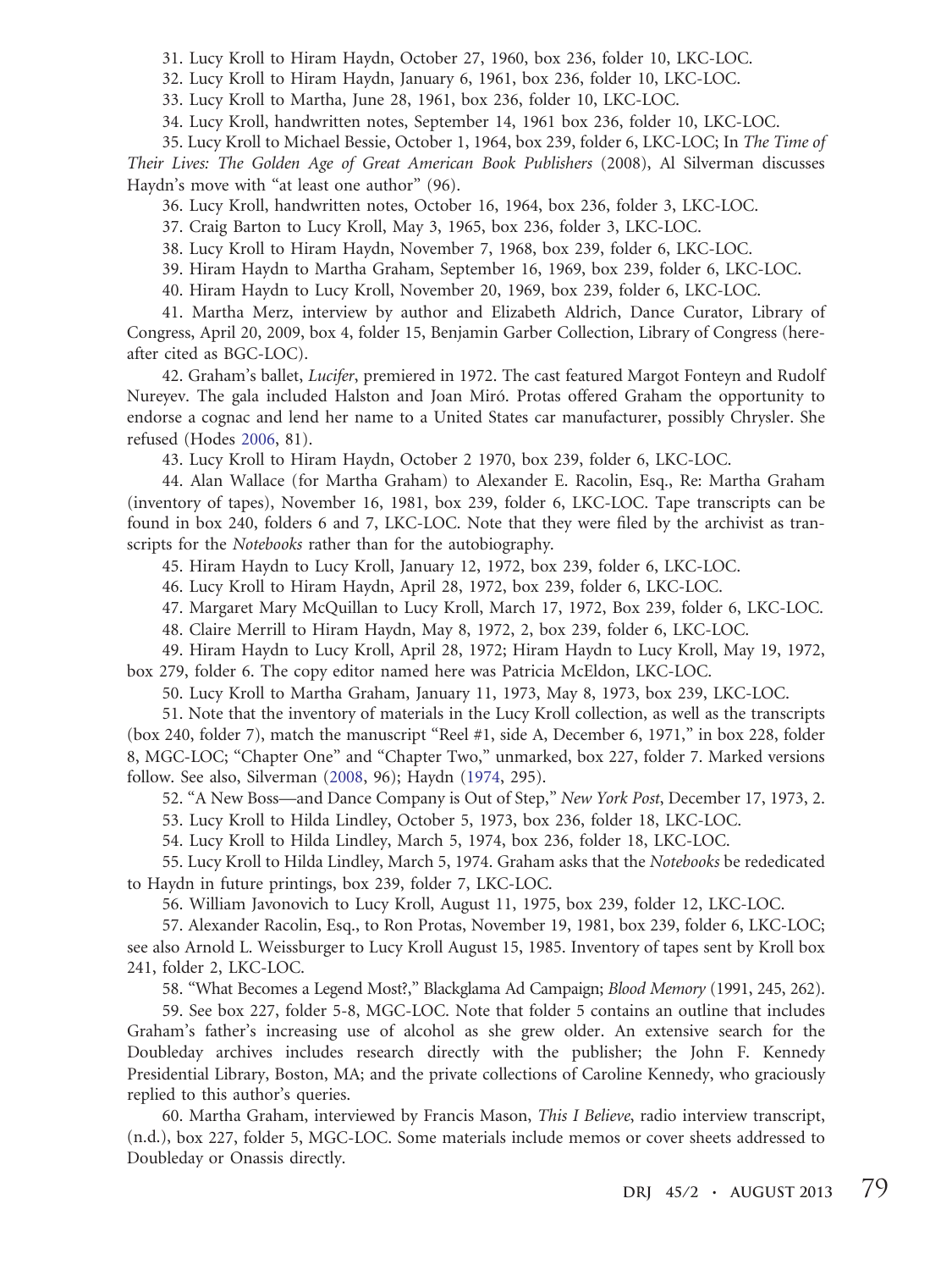<span id="page-17-0"></span>31. Lucy Kroll to Hiram Haydn, October 27, 1960, box 236, folder 10, LKC-LOC.

32. Lucy Kroll to Hiram Haydn, January 6, 1961, box 236, folder 10, LKC-LOC.

33. Lucy Kroll to Martha, June 28, 1961, box 236, folder 10, LKC-LOC.

34. Lucy Kroll, handwritten notes, September 14, 1961 box 236, folder 10, LKC-LOC.

35. Lucy Kroll to Michael Bessie, October 1, 1964, box 239, folder 6, LKC-LOC; In The Time of Their Lives: The Golden Age of Great American Book Publishers (2008), Al Silverman discusses

Haydn's move with "at least one author" (96).

36. Lucy Kroll, handwritten notes, October 16, 1964, box 236, folder 3, LKC-LOC.

37. Craig Barton to Lucy Kroll, May 3, 1965, box 236, folder 3, LKC-LOC.

38. Lucy Kroll to Hiram Haydn, November 7, 1968, box 239, folder 6, LKC-LOC.

39. Hiram Haydn to Martha Graham, September 16, 1969, box 239, folder 6, LKC-LOC.

40. Hiram Haydn to Lucy Kroll, November 20, 1969, box 239, folder 6, LKC-LOC.

41. Martha Merz, interview by author and Elizabeth Aldrich, Dance Curator, Library of Congress, April 20, 2009, box 4, folder 15, Benjamin Garber Collection, Library of Congress (hereafter cited as BGC-LOC).

42. Graham's ballet, Lucifer, premiered in 1972. The cast featured Margot Fonteyn and Rudolf Nureyev. The gala included Halston and Joan Miró. Protas offered Graham the opportunity to endorse a cognac and lend her name to a United States car manufacturer, possibly Chrysler. She refused (Hodes [2006](#page-21-0), 81).

43. Lucy Kroll to Hiram Haydn, October 2 1970, box 239, folder 6, LKC-LOC.

44. Alan Wallace (for Martha Graham) to Alexander E. Racolin, Esq., Re: Martha Graham (inventory of tapes), November 16, 1981, box 239, folder 6, LKC-LOC. Tape transcripts can be found in box 240, folders 6 and 7, LKC-LOC. Note that they were filed by the archivist as transcripts for the *Notebooks* rather than for the autobiography.

45. Hiram Haydn to Lucy Kroll, January 12, 1972, box 239, folder 6, LKC-LOC.

46. Lucy Kroll to Hiram Haydn, April 28, 1972, box 239, folder 6, LKC-LOC.

47. Margaret Mary McQuillan to Lucy Kroll, March 17, 1972, Box 239, folder 6, LKC-LOC.

48. Claire Merrill to Hiram Haydn, May 8, 1972, 2, box 239, folder 6, LKC-LOC.

49. Hiram Haydn to Lucy Kroll, April 28, 1972; Hiram Haydn to Lucy Kroll, May 19, 1972, box 279, folder 6. The copy editor named here was Patricia McEldon, LKC-LOC.

50. Lucy Kroll to Martha Graham, January 11, 1973, May 8, 1973, box 239, LKC-LOC.

51. Note that the inventory of materials in the Lucy Kroll collection, as well as the transcripts (box 240, folder 7), match the manuscript "Reel #1, side A, December 6, 1971," in box 228, folder 8, MGC-LOC; "Chapter One" and "Chapter Two," unmarked, box 227, folder 7. Marked versions follow. See also, Silverman ([2008](#page-21-0), 96); Haydn ([1974,](#page-21-0) 295).

52. "A New Boss—and Dance Company is Out of Step," New York Post, December 17, 1973, 2.

53. Lucy Kroll to Hilda Lindley, October 5, 1973, box 236, folder 18, LKC-LOC.

54. Lucy Kroll to Hilda Lindley, March 5, 1974, box 236, folder 18, LKC-LOC.

55. Lucy Kroll to Hilda Lindley, March 5, 1974. Graham asks that the Notebooks be rededicated to Haydn in future printings, box 239, folder 7, LKC-LOC.

56. William Javonovich to Lucy Kroll, August 11, 1975, box 239, folder 12, LKC-LOC.

57. Alexander Racolin, Esq., to Ron Protas, November 19, 1981, box 239, folder 6, LKC-LOC; see also Arnold L. Weissburger to Lucy Kroll August 15, 1985. Inventory of tapes sent by Kroll box 241, folder 2, LKC-LOC.

58. "What Becomes a Legend Most?," Blackglama Ad Campaign; Blood Memory (1991, 245, 262).

59. See box 227, folder 5-8, MGC-LOC. Note that folder 5 contains an outline that includes Graham's father's increasing use of alcohol as she grew older. An extensive search for the Doubleday archives includes research directly with the publisher; the John F. Kennedy Presidential Library, Boston, MA; and the private collections of Caroline Kennedy, who graciously replied to this author's queries.

60. Martha Graham, interviewed by Francis Mason, This I Believe, radio interview transcript, (n.d.), box 227, folder 5, MGC-LOC. Some materials include memos or cover sheets addressed to Doubleday or Onassis directly.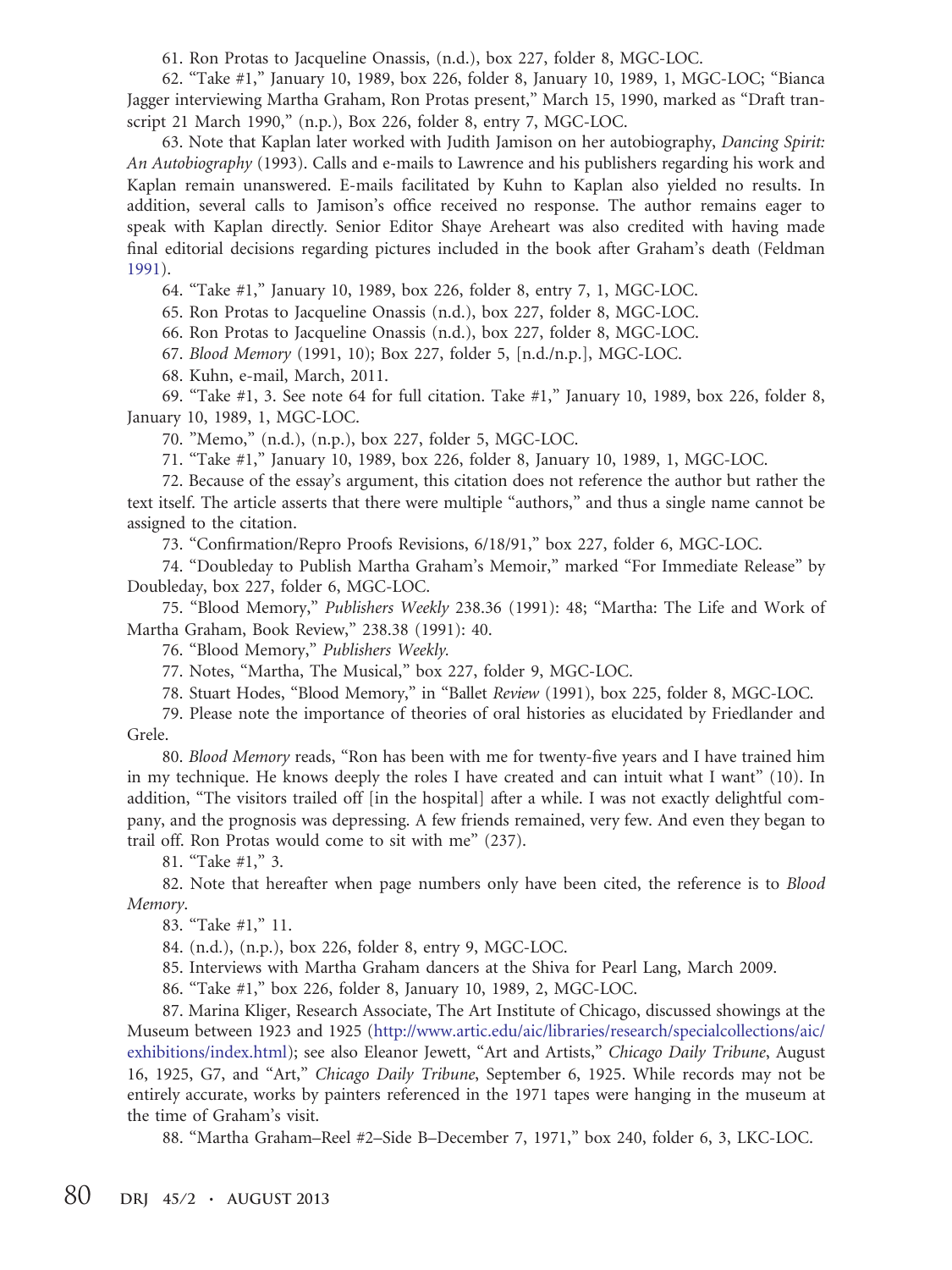61. Ron Protas to Jacqueline Onassis, (n.d.), box 227, folder 8, MGC-LOC.

<span id="page-18-0"></span>62. "Take #1," January 10, 1989, box 226, folder 8, January 10, 1989, 1, MGC-LOC; "Bianca Jagger interviewing Martha Graham, Ron Protas present," March 15, 1990, marked as "Draft transcript 21 March 1990," (n.p.), Box 226, folder 8, entry 7, MGC-LOC.

63. Note that Kaplan later worked with Judith Jamison on her autobiography, Dancing Spirit: An Autobiography (1993). Calls and e-mails to Lawrence and his publishers regarding his work and Kaplan remain unanswered. E-mails facilitated by Kuhn to Kaplan also yielded no results. In addition, several calls to Jamison's office received no response. The author remains eager to speak with Kaplan directly. Senior Editor Shaye Areheart was also credited with having made final editorial decisions regarding pictures included in the book after Graham's death (Feldman [1991](#page-20-0)).

64. "Take #1," January 10, 1989, box 226, folder 8, entry 7, 1, MGC-LOC.

65. Ron Protas to Jacqueline Onassis (n.d.), box 227, folder 8, MGC-LOC.

66. Ron Protas to Jacqueline Onassis (n.d.), box 227, folder 8, MGC-LOC.

67. Blood Memory (1991, 10); Box 227, folder 5, [n.d./n.p.], MGC-LOC.

68. Kuhn, e-mail, March, 2011.

69. "Take #1, 3. See note 64 for full citation. Take #1," January 10, 1989, box 226, folder 8, January 10, 1989, 1, MGC-LOC.

70. "Memo," (n.d.), (n.p.), box 227, folder 5, MGC-LOC.

71. "Take #1," January 10, 1989, box 226, folder 8, January 10, 1989, 1, MGC-LOC.

72. Because of the essay's argument, this citation does not reference the author but rather the text itself. The article asserts that there were multiple "authors," and thus a single name cannot be assigned to the citation.

73. "Confirmation/Repro Proofs Revisions, 6/18/91," box 227, folder 6, MGC-LOC.

74. "Doubleday to Publish Martha Graham's Memoir," marked "For Immediate Release" by Doubleday, box 227, folder 6, MGC-LOC.

75. "Blood Memory," Publishers Weekly 238.36 (1991): 48; "Martha: The Life and Work of Martha Graham, Book Review," 238.38 (1991): 40.

76. "Blood Memory," Publishers Weekly.

77. Notes, "Martha, The Musical," box 227, folder 9, MGC-LOC.

78. Stuart Hodes, "Blood Memory," in "Ballet Review (1991), box 225, folder 8, MGC-LOC.

79. Please note the importance of theories of oral histories as elucidated by Friedlander and Grele.

80. Blood Memory reads, "Ron has been with me for twenty-five years and I have trained him in my technique. He knows deeply the roles I have created and can intuit what I want" (10). In addition, "The visitors trailed off [in the hospital] after a while. I was not exactly delightful company, and the prognosis was depressing. A few friends remained, very few. And even they began to trail off. Ron Protas would come to sit with me" (237).

81. "Take #1," 3.

82. Note that hereafter when page numbers only have been cited, the reference is to Blood Memory.

83. "Take #1," 11.

84. (n.d.), (n.p.), box 226, folder 8, entry 9, MGC-LOC.

85. Interviews with Martha Graham dancers at the Shiva for Pearl Lang, March 2009.

86. "Take #1," box 226, folder 8, January 10, 1989, 2, MGC-LOC.

87. Marina Kliger, Research Associate, The Art Institute of Chicago, discussed showings at the Museum between 1923 and 1925 ([http://www.artic.edu/aic/libraries/research/specialcollections/aic/](http://www.artic.edu/aic/libraries/research/specialcollections/aic/exhibitions/index.html) [exhibitions/index.html](http://www.artic.edu/aic/libraries/research/specialcollections/aic/exhibitions/index.html)); see also Eleanor Jewett, "Art and Artists," Chicago Daily Tribune, August 16, 1925, G7, and "Art," Chicago Daily Tribune, September 6, 1925. While records may not be entirely accurate, works by painters referenced in the 1971 tapes were hanging in the museum at the time of Graham's visit.

88. "Martha Graham–Reel #2–Side B–December 7, 1971," box 240, folder 6, 3, LKC-LOC.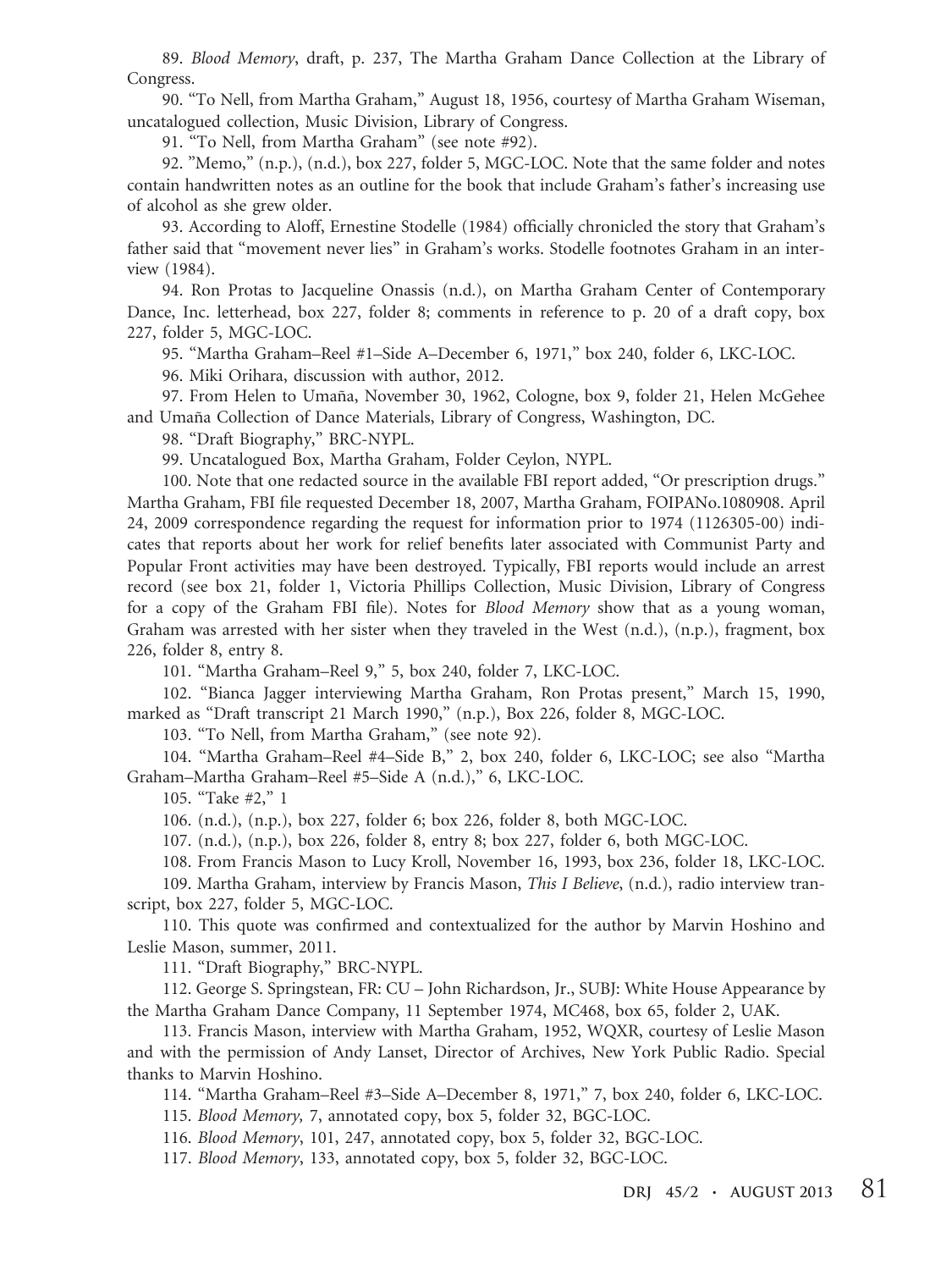<span id="page-19-0"></span>89. Blood Memory, draft, p. 237, The Martha Graham Dance Collection at the Library of Congress.

90. "To Nell, from Martha Graham," August 18, 1956, courtesy of Martha Graham Wiseman, uncatalogued collection, Music Division, Library of Congress.

91. "To Nell, from Martha Graham" (see note #92).

92. "Memo," (n.p.), (n.d.), box 227, folder 5, MGC-LOC. Note that the same folder and notes contain handwritten notes as an outline for the book that include Graham's father's increasing use of alcohol as she grew older.

93. According to Aloff, Ernestine Stodelle (1984) officially chronicled the story that Graham's father said that "movement never lies" in Graham's works. Stodelle footnotes Graham in an interview (1984).

94. Ron Protas to Jacqueline Onassis (n.d.), on Martha Graham Center of Contemporary Dance, Inc. letterhead, box 227, folder 8; comments in reference to p. 20 of a draft copy, box 227, folder 5, MGC-LOC.

95. "Martha Graham–Reel #1–Side A–December 6, 1971," box 240, folder 6, LKC-LOC.

96. Miki Orihara, discussion with author, 2012.

97. From Helen to Umaña, November 30, 1962, Cologne, box 9, folder 21, Helen McGehee and Umaña Collection of Dance Materials, Library of Congress, Washington, DC.

98. "Draft Biography," BRC-NYPL.

99. Uncatalogued Box, Martha Graham, Folder Ceylon, NYPL.

100. Note that one redacted source in the available FBI report added, "Or prescription drugs." Martha Graham, FBI file requested December 18, 2007, Martha Graham, FOIPANo.1080908. April 24, 2009 correspondence regarding the request for information prior to 1974 (1126305-00) indicates that reports about her work for relief benefits later associated with Communist Party and Popular Front activities may have been destroyed. Typically, FBI reports would include an arrest record (see box 21, folder 1, Victoria Phillips Collection, Music Division, Library of Congress for a copy of the Graham FBI file). Notes for Blood Memory show that as a young woman, Graham was arrested with her sister when they traveled in the West (n.d.), (n.p.), fragment, box 226, folder 8, entry 8.

101. "Martha Graham–Reel 9," 5, box 240, folder 7, LKC-LOC.

102. "Bianca Jagger interviewing Martha Graham, Ron Protas present," March 15, 1990, marked as "Draft transcript 21 March 1990," (n.p.), Box 226, folder 8, MGC-LOC.

103. "To Nell, from Martha Graham," (see note 92).

104. "Martha Graham–Reel #4–Side B," 2, box 240, folder 6, LKC-LOC; see also "Martha Graham–Martha Graham–Reel #5–Side A (n.d.)," 6, LKC-LOC.

105. "Take #2," 1

106. (n.d.), (n.p.), box 227, folder 6; box 226, folder 8, both MGC-LOC.

107. (n.d.), (n.p.), box 226, folder 8, entry 8; box 227, folder 6, both MGC-LOC.

108. From Francis Mason to Lucy Kroll, November 16, 1993, box 236, folder 18, LKC-LOC.

109. Martha Graham, interview by Francis Mason, This I Believe, (n.d.), radio interview transcript, box 227, folder 5, MGC-LOC.

110. This quote was confirmed and contextualized for the author by Marvin Hoshino and Leslie Mason, summer, 2011.

111. "Draft Biography," BRC-NYPL.

112. George S. Springstean, FR: CU – John Richardson, Jr., SUBJ: White House Appearance by the Martha Graham Dance Company, 11 September 1974, MC468, box 65, folder 2, UAK.

113. Francis Mason, interview with Martha Graham, 1952, WQXR, courtesy of Leslie Mason and with the permission of Andy Lanset, Director of Archives, New York Public Radio. Special thanks to Marvin Hoshino.

114. "Martha Graham–Reel #3–Side A–December 8, 1971," 7, box 240, folder 6, LKC-LOC.

115. Blood Memory, 7, annotated copy, box 5, folder 32, BGC-LOC.

116. Blood Memory, 101, 247, annotated copy, box 5, folder 32, BGC-LOC.

117. Blood Memory, 133, annotated copy, box 5, folder 32, BGC-LOC.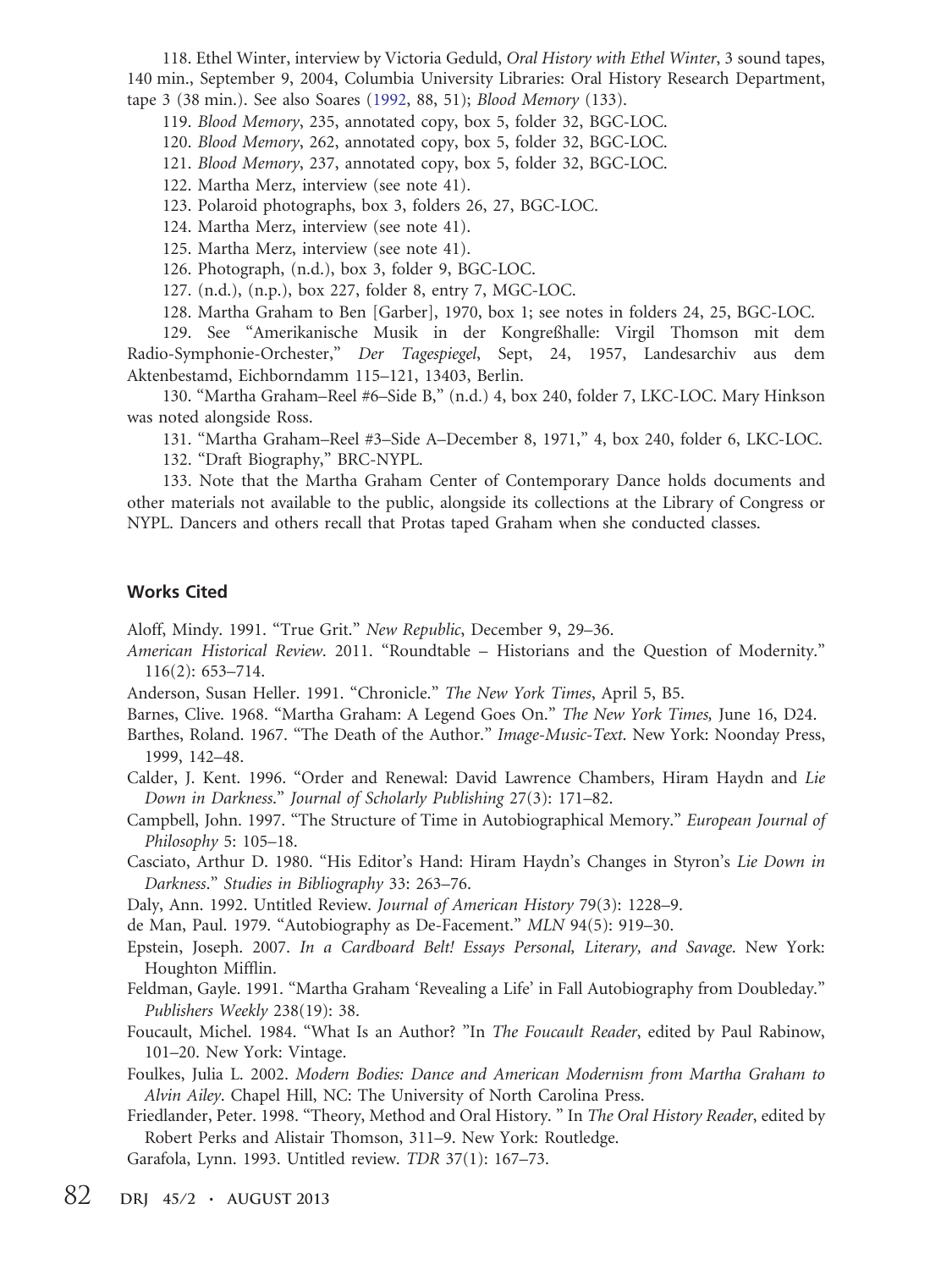<span id="page-20-0"></span>118. Ethel Winter, interview by Victoria Geduld, Oral History with Ethel Winter, 3 sound tapes, 140 min., September 9, 2004, Columbia University Libraries: Oral History Research Department, tape 3 (38 min.). See also Soares [\(1992,](#page-21-0) 88, 51); Blood Memory (133).

119. Blood Memory, 235, annotated copy, box 5, folder 32, BGC-LOC.

120. Blood Memory, 262, annotated copy, box 5, folder 32, BGC-LOC.

121. Blood Memory, 237, annotated copy, box 5, folder 32, BGC-LOC.

122. Martha Merz, interview (see note 41).

123. Polaroid photographs, box 3, folders 26, 27, BGC-LOC.

124. Martha Merz, interview (see note 41).

125. Martha Merz, interview (see note 41).

126. Photograph, (n.d.), box 3, folder 9, BGC-LOC.

127. (n.d.), (n.p.), box 227, folder 8, entry 7, MGC-LOC.

128. Martha Graham to Ben [Garber], 1970, box 1; see notes in folders 24, 25, BGC-LOC.

129. See "Amerikanische Musik in der Kongreßhalle: Virgil Thomson mit dem Radio-Symphonie-Orchester," Der Tagespiegel, Sept, 24, 1957, Landesarchiv aus dem Aktenbestamd, Eichborndamm 115–121, 13403, Berlin.

130. "Martha Graham–Reel #6–Side B," (n.d.) 4, box 240, folder 7, LKC-LOC. Mary Hinkson was noted alongside Ross.

131. "Martha Graham–Reel #3–Side A–December 8, 1971," 4, box 240, folder 6, LKC-LOC.

132. "Draft Biography," BRC-NYPL.

133. Note that the Martha Graham Center of Contemporary Dance holds documents and other materials not available to the public, alongside its collections at the Library of Congress or NYPL. Dancers and others recall that Protas taped Graham when she conducted classes.

#### Works Cited

Aloff, Mindy. 1991. "True Grit." New Republic, December 9, 29–36.

American Historical Review. 2011. "Roundtable – Historians and the Question of Modernity." 116(2): 653–714.

Anderson, Susan Heller. 1991. "Chronicle." The New York Times, April 5, B5.

Barnes, Clive. 1968. "Martha Graham: A Legend Goes On." The New York Times, June 16, D24.

Barthes, Roland. 1967. "The Death of the Author." Image-Music-Text. New York: Noonday Press, 1999, 142–48.

Calder, J. Kent. 1996. "Order and Renewal: David Lawrence Chambers, Hiram Haydn and Lie Down in Darkness." Journal of Scholarly Publishing 27(3): 171–82.

Campbell, John. 1997. "The Structure of Time in Autobiographical Memory." European Journal of Philosophy 5: 105–18.

Casciato, Arthur D. 1980. "His Editor's Hand: Hiram Haydn's Changes in Styron's Lie Down in Darkness." Studies in Bibliography 33: 263–76.

Daly, Ann. 1992. Untitled Review. Journal of American History 79(3): 1228–9.

de Man, Paul. 1979. "Autobiography as De-Facement." MLN 94(5): 919–30.

Epstein, Joseph. 2007. In a Cardboard Belt! Essays Personal, Literary, and Savage. New York: Houghton Mifflin.

Feldman, Gayle. 1991. "Martha Graham 'Revealing a Life' in Fall Autobiography from Doubleday." Publishers Weekly 238(19): 38.

Foucault, Michel. 1984. "What Is an Author? "In The Foucault Reader, edited by Paul Rabinow, 101–20. New York: Vintage.

Foulkes, Julia L. 2002. Modern Bodies: Dance and American Modernism from Martha Graham to Alvin Ailey. Chapel Hill, NC: The University of North Carolina Press.

Friedlander, Peter. 1998. "Theory, Method and Oral History. " In The Oral History Reader, edited by Robert Perks and Alistair Thomson, 311–9. New York: Routledge.

Garafola, Lynn. 1993. Untitled review. TDR 37(1): 167–73.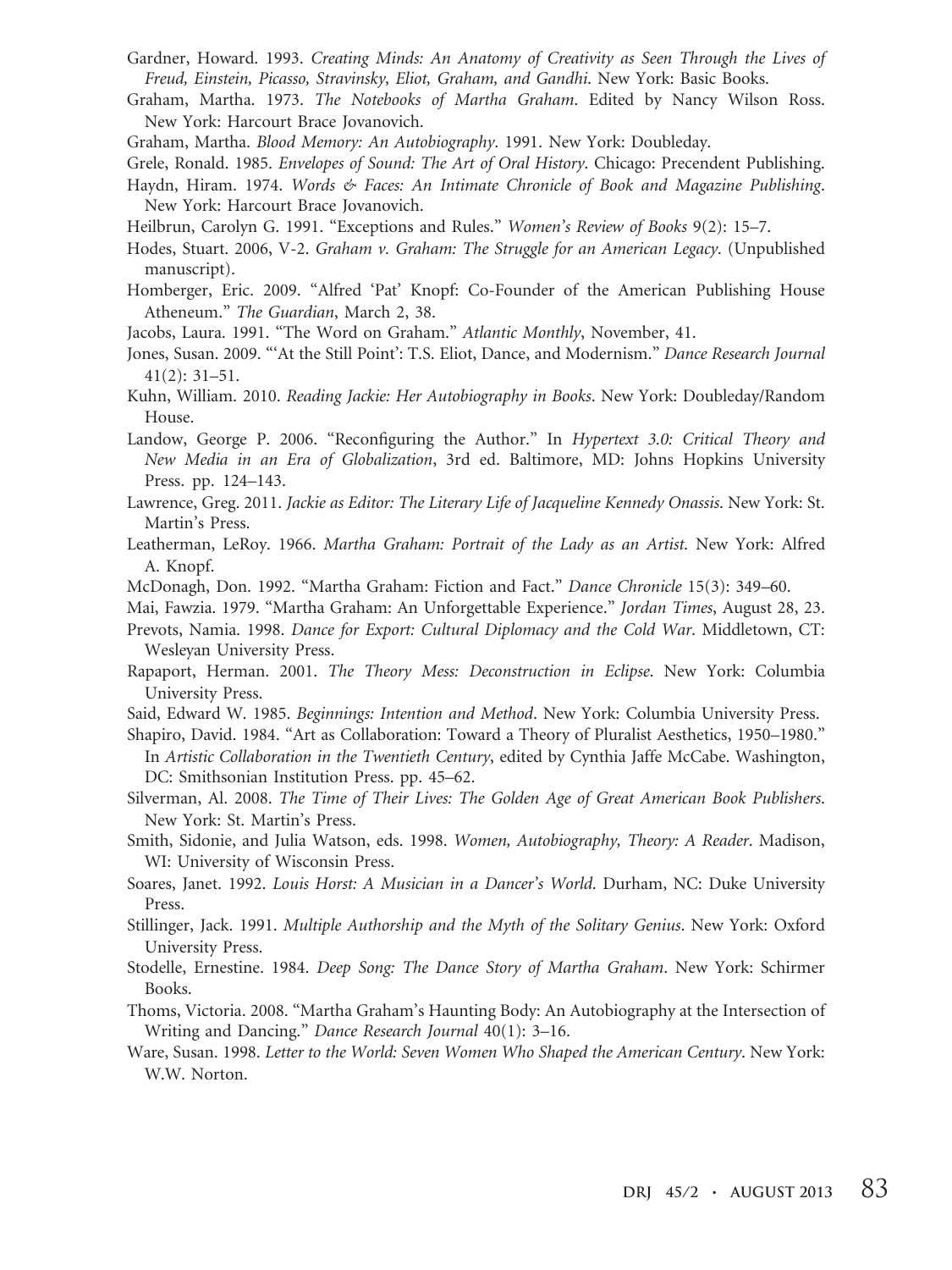- <span id="page-21-0"></span>Gardner, Howard. 1993. Creating Minds: An Anatomy of Creativity as Seen Through the Lives of Freud, Einstein, Picasso, Stravinsky, Eliot, Graham, and Gandhi. New York: Basic Books.
- Graham, Martha. 1973. The Notebooks of Martha Graham. Edited by Nancy Wilson Ross. New York: Harcourt Brace Jovanovich.
- Graham, Martha. Blood Memory: An Autobiography. 1991. New York: Doubleday.
- Grele, Ronald. 1985. Envelopes of Sound: The Art of Oral History. Chicago: Precendent Publishing.
- Haydn, Hiram. 1974. Words & Faces: An Intimate Chronicle of Book and Magazine Publishing. New York: Harcourt Brace Jovanovich.
- Heilbrun, Carolyn G. 1991. "Exceptions and Rules." Women's Review of Books 9(2): 15–7.
- Hodes, Stuart. 2006, V-2. Graham v. Graham: The Struggle for an American Legacy. (Unpublished manuscript).
- Homberger, Eric. 2009. "Alfred 'Pat' Knopf: Co-Founder of the American Publishing House Atheneum." The Guardian, March 2, 38.
- Jacobs, Laura. 1991. "The Word on Graham." Atlantic Monthly, November, 41.
- Jones, Susan. 2009. "'At the Still Point': T.S. Eliot, Dance, and Modernism." Dance Research Journal 41(2): 31–51.
- Kuhn, William. 2010. Reading Jackie: Her Autobiography in Books. New York: Doubleday/Random House.
- Landow, George P. 2006. "Reconfiguring the Author." In Hypertext 3.0: Critical Theory and New Media in an Era of Globalization, 3rd ed. Baltimore, MD: Johns Hopkins University Press. pp. 124–143.
- Lawrence, Greg. 2011. Jackie as Editor: The Literary Life of Jacqueline Kennedy Onassis. New York: St. Martin's Press.
- Leatherman, LeRoy. 1966. Martha Graham: Portrait of the Lady as an Artist. New York: Alfred A. Knopf.
- McDonagh, Don. 1992. "Martha Graham: Fiction and Fact." Dance Chronicle 15(3): 349–60.
- Mai, Fawzia. 1979. "Martha Graham: An Unforgettable Experience." Jordan Times, August 28, 23.
- Prevots, Namia. 1998. Dance for Export: Cultural Diplomacy and the Cold War. Middletown, CT: Wesleyan University Press.
- Rapaport, Herman. 2001. The Theory Mess: Deconstruction in Eclipse. New York: Columbia University Press.
- Said, Edward W. 1985. Beginnings: Intention and Method. New York: Columbia University Press.
- Shapiro, David. 1984. "Art as Collaboration: Toward a Theory of Pluralist Aesthetics, 1950–1980." In Artistic Collaboration in the Twentieth Century, edited by Cynthia Jaffe McCabe. Washington, DC: Smithsonian Institution Press. pp. 45–62.
- Silverman, Al. 2008. The Time of Their Lives: The Golden Age of Great American Book Publishers. New York: St. Martin's Press.
- Smith, Sidonie, and Julia Watson, eds. 1998. Women, Autobiography, Theory: A Reader. Madison, WI: University of Wisconsin Press.
- Soares, Janet. 1992. Louis Horst: A Musician in a Dancer's World. Durham, NC: Duke University Press.
- Stillinger, Jack. 1991. Multiple Authorship and the Myth of the Solitary Genius. New York: Oxford University Press.
- Stodelle, Ernestine. 1984. Deep Song: The Dance Story of Martha Graham. New York: Schirmer Books.
- Thoms, Victoria. 2008. "Martha Graham's Haunting Body: An Autobiography at the Intersection of Writing and Dancing." Dance Research Journal 40(1): 3–16.
- Ware, Susan. 1998. Letter to the World: Seven Women Who Shaped the American Century. New York: W.W. Norton.